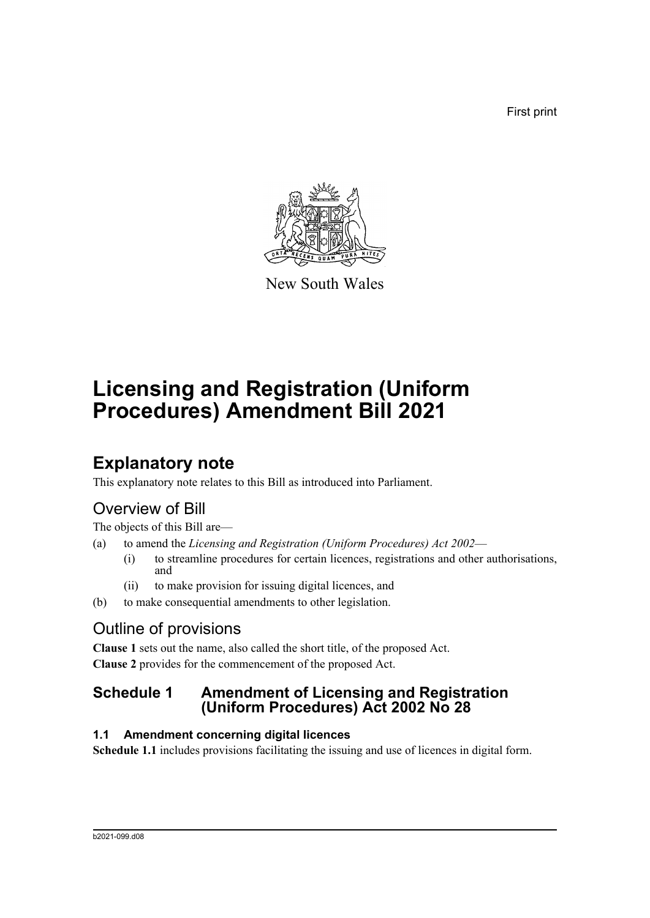First print



New South Wales

# **Licensing and Registration (Uniform Procedures) Amendment Bill 2021**

## **Explanatory note**

This explanatory note relates to this Bill as introduced into Parliament.

## Overview of Bill

The objects of this Bill are—

- (a) to amend the *Licensing and Registration (Uniform Procedures) Act 2002*
	- (i) to streamline procedures for certain licences, registrations and other authorisations, and
	- (ii) to make provision for issuing digital licences, and
- (b) to make consequential amendments to other legislation.

## Outline of provisions

**Clause 1** sets out the name, also called the short title, of the proposed Act. **Clause 2** provides for the commencement of the proposed Act.

## **Schedule 1 Amendment of Licensing and Registration (Uniform Procedures) Act 2002 No 28**

## **1.1 Amendment concerning digital licences**

**Schedule 1.1** includes provisions facilitating the issuing and use of licences in digital form.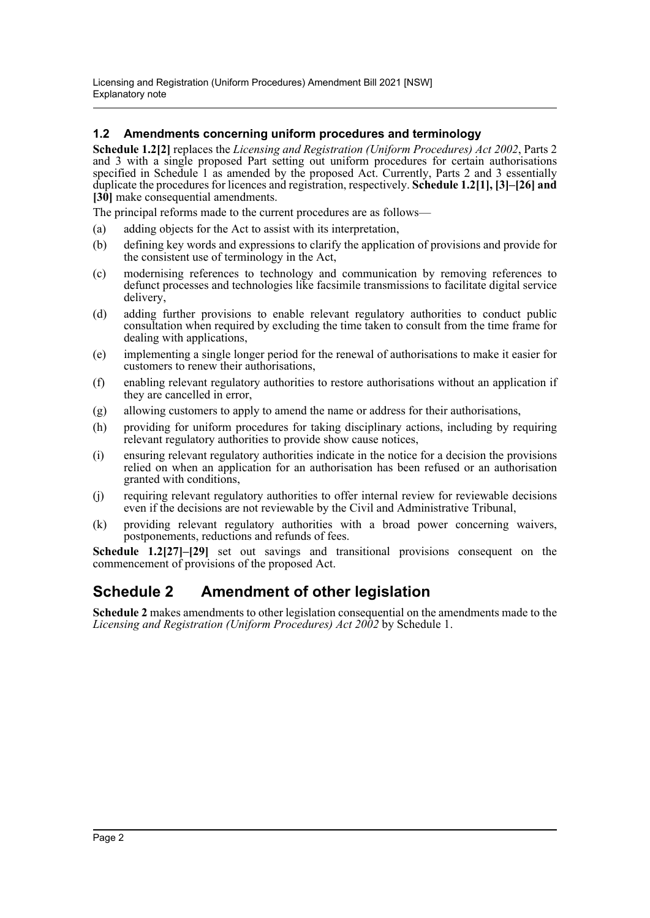### **1.2 Amendments concerning uniform procedures and terminology**

**Schedule 1.2[2]** replaces the *Licensing and Registration (Uniform Procedures) Act 2002*, Parts 2 and 3 with a single proposed Part setting out uniform procedures for certain authorisations specified in Schedule 1 as amended by the proposed Act. Currently, Parts 2 and 3 essentially duplicate the procedures for licences and registration, respectively. **Schedule 1.2[1], [3]–[26] and** [30] make consequential amendments.

The principal reforms made to the current procedures are as follows—

- (a) adding objects for the Act to assist with its interpretation,
- (b) defining key words and expressions to clarify the application of provisions and provide for the consistent use of terminology in the Act,
- (c) modernising references to technology and communication by removing references to defunct processes and technologies like facsimile transmissions to facilitate digital service delivery,
- (d) adding further provisions to enable relevant regulatory authorities to conduct public consultation when required by excluding the time taken to consult from the time frame for dealing with applications,
- (e) implementing a single longer period for the renewal of authorisations to make it easier for customers to renew their authorisations,
- (f) enabling relevant regulatory authorities to restore authorisations without an application if they are cancelled in error,
- (g) allowing customers to apply to amend the name or address for their authorisations,
- (h) providing for uniform procedures for taking disciplinary actions, including by requiring relevant regulatory authorities to provide show cause notices,
- (i) ensuring relevant regulatory authorities indicate in the notice for a decision the provisions relied on when an application for an authorisation has been refused or an authorisation granted with conditions,
- (j) requiring relevant regulatory authorities to offer internal review for reviewable decisions even if the decisions are not reviewable by the Civil and Administrative Tribunal,
- (k) providing relevant regulatory authorities with a broad power concerning waivers, postponements, reductions and refunds of fees.

**Schedule 1.2[27]–[29]** set out savings and transitional provisions consequent on the commencement of provisions of the proposed Act.

## **Schedule 2 Amendment of other legislation**

**Schedule 2** makes amendments to other legislation consequential on the amendments made to the *Licensing and Registration (Uniform Procedures) Act 2002* by Schedule 1.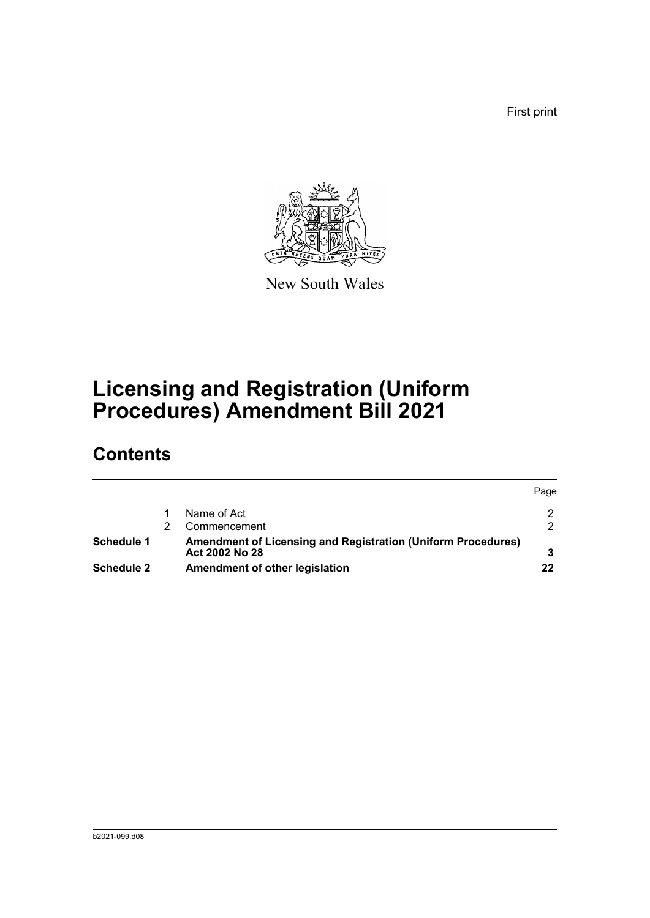First print



New South Wales

# **Licensing and Registration (Uniform Procedures) Amendment Bill 2021**

# **Contents**

|                   |                                                                     | Page          |
|-------------------|---------------------------------------------------------------------|---------------|
|                   | Name of Act                                                         | $\mathcal{D}$ |
|                   | Commencement                                                        | $\mathcal{P}$ |
| <b>Schedule 1</b> | <b>Amendment of Licensing and Registration (Uniform Procedures)</b> |               |
|                   | Act 2002 No 28                                                      |               |
| <b>Schedule 2</b> | Amendment of other legislation                                      | 22            |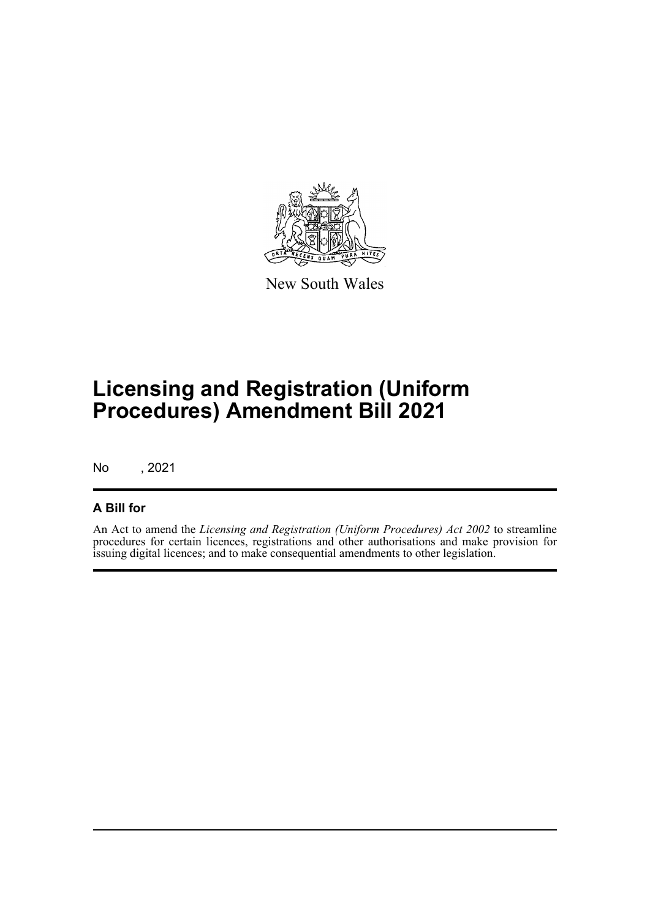

New South Wales

# **Licensing and Registration (Uniform Procedures) Amendment Bill 2021**

No , 2021

## **A Bill for**

An Act to amend the *Licensing and Registration (Uniform Procedures) Act 2002* to streamline procedures for certain licences, registrations and other authorisations and make provision for issuing digital licences; and to make consequential amendments to other legislation.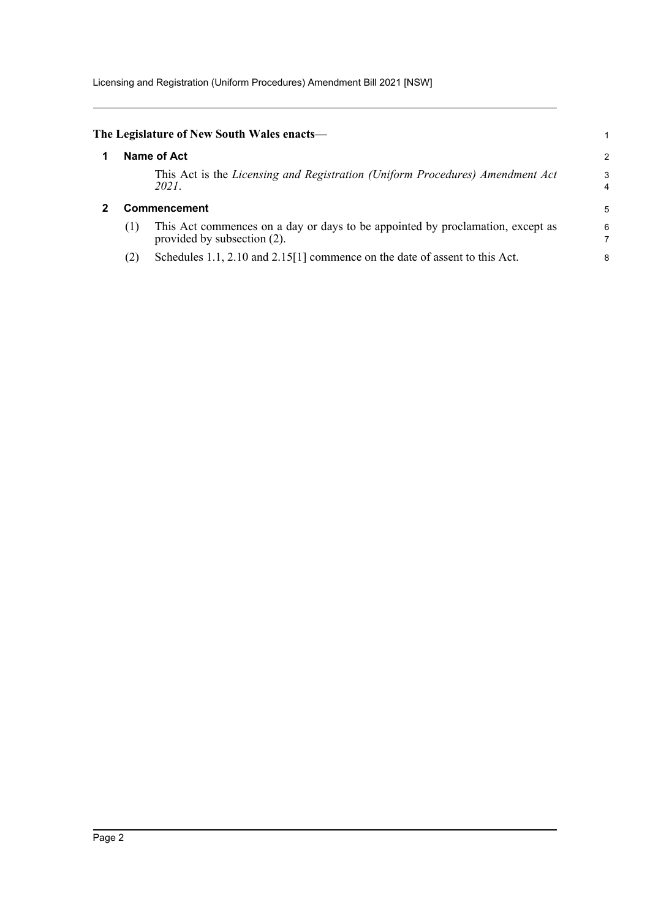<span id="page-4-1"></span><span id="page-4-0"></span>

|     | The Legislature of New South Wales enacts—                                                                    |        |
|-----|---------------------------------------------------------------------------------------------------------------|--------|
|     | Name of Act                                                                                                   | 2      |
|     | This Act is the Licensing and Registration (Uniform Procedures) Amendment Act<br>2021.                        | 3<br>4 |
|     | <b>Commencement</b>                                                                                           | 5      |
| (1) | This Act commences on a day or days to be appointed by proclamation, except as<br>provided by subsection (2). | 6      |
| (2) | Schedules 1.1, 2.10 and 2.15[1] commence on the date of assent to this Act.                                   | 8      |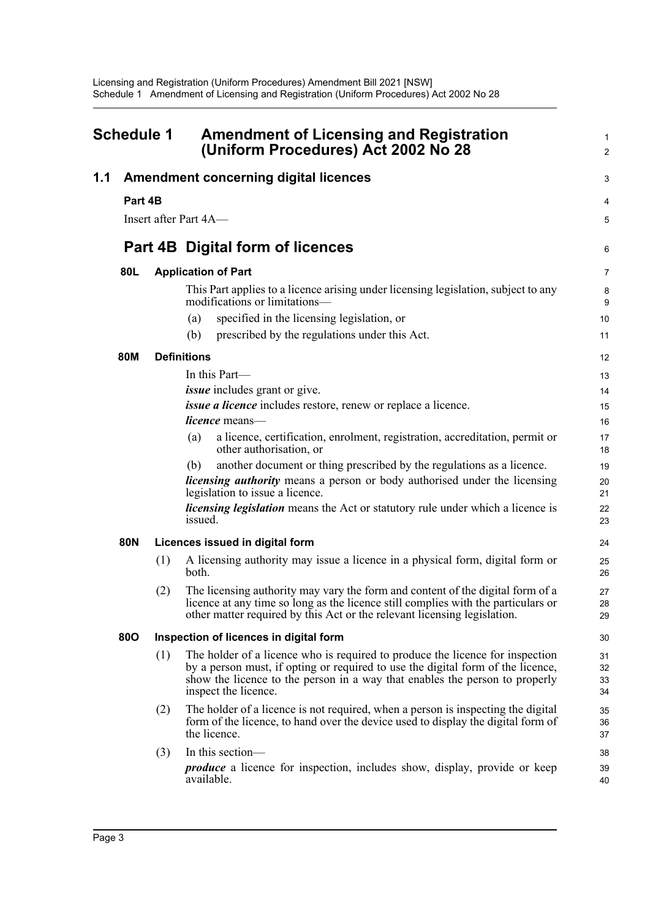<span id="page-5-0"></span>

| <b>Schedule 1</b> |                          |            | <b>Amendment of Licensing and Registration</b><br>(Uniform Procedures) Act 2002 No 28                                                                                                                                                                                                                                                                                                                                                                                                                                                                                                                                         |                                                                            |
|-------------------|--------------------------|------------|-------------------------------------------------------------------------------------------------------------------------------------------------------------------------------------------------------------------------------------------------------------------------------------------------------------------------------------------------------------------------------------------------------------------------------------------------------------------------------------------------------------------------------------------------------------------------------------------------------------------------------|----------------------------------------------------------------------------|
| 1.1               | Part 4B                  |            | <b>Amendment concerning digital licences</b><br>Insert after Part 4A-                                                                                                                                                                                                                                                                                                                                                                                                                                                                                                                                                         | 3<br>4<br>5                                                                |
|                   |                          |            | <b>Part 4B Digital form of licences</b>                                                                                                                                                                                                                                                                                                                                                                                                                                                                                                                                                                                       | 6                                                                          |
|                   |                          |            |                                                                                                                                                                                                                                                                                                                                                                                                                                                                                                                                                                                                                               |                                                                            |
|                   | 80L                      |            | <b>Application of Part</b><br>This Part applies to a licence arising under licensing legislation, subject to any<br>modifications or limitations-<br>specified in the licensing legislation, or<br>(a)                                                                                                                                                                                                                                                                                                                                                                                                                        | 7<br>8<br>9<br>10                                                          |
|                   |                          |            | prescribed by the regulations under this Act.<br>(b)                                                                                                                                                                                                                                                                                                                                                                                                                                                                                                                                                                          | 11                                                                         |
|                   |                          |            |                                                                                                                                                                                                                                                                                                                                                                                                                                                                                                                                                                                                                               |                                                                            |
|                   | <b>80M</b><br><b>80N</b> |            | <b>Definitions</b><br>In this Part—<br><i>issue</i> includes grant or give.<br>issue a licence includes restore, renew or replace a licence.<br>licence means-<br>a licence, certification, enrolment, registration, accreditation, permit or<br>(a)<br>other authorisation, or<br>another document or thing prescribed by the regulations as a licence.<br>(b)<br><i>licensing authority</i> means a person or body authorised under the licensing<br>legislation to issue a licence.<br><i>licensing legislation</i> means the Act or statutory rule under which a licence is<br>issued.<br>Licences issued in digital form | 12<br>13<br>14<br>15<br>16<br>17<br>18<br>19<br>20<br>21<br>22<br>23<br>24 |
|                   |                          | (1)<br>(2) | A licensing authority may issue a licence in a physical form, digital form or<br>both.<br>The licensing authority may vary the form and content of the digital form of a<br>licence at any time so long as the licence still complies with the particulars or<br>other matter required by this Act or the relevant licensing legislation.                                                                                                                                                                                                                                                                                     | 25<br>26<br>27<br>28<br>29                                                 |
|                   | <b>800</b>               |            | Inspection of licences in digital form                                                                                                                                                                                                                                                                                                                                                                                                                                                                                                                                                                                        | 30                                                                         |
|                   |                          | (1)        | The holder of a licence who is required to produce the licence for inspection<br>by a person must, if opting or required to use the digital form of the licence,<br>show the licence to the person in a way that enables the person to properly<br>inspect the licence.                                                                                                                                                                                                                                                                                                                                                       | 31<br>32<br>33<br>34                                                       |
|                   |                          | (2)        | The holder of a licence is not required, when a person is inspecting the digital<br>form of the licence, to hand over the device used to display the digital form of<br>the licence.                                                                                                                                                                                                                                                                                                                                                                                                                                          | 35<br>36<br>37                                                             |
|                   |                          | (3)        | In this section-<br><i>produce</i> a licence for inspection, includes show, display, provide or keep<br>available.                                                                                                                                                                                                                                                                                                                                                                                                                                                                                                            | 38<br>39<br>40                                                             |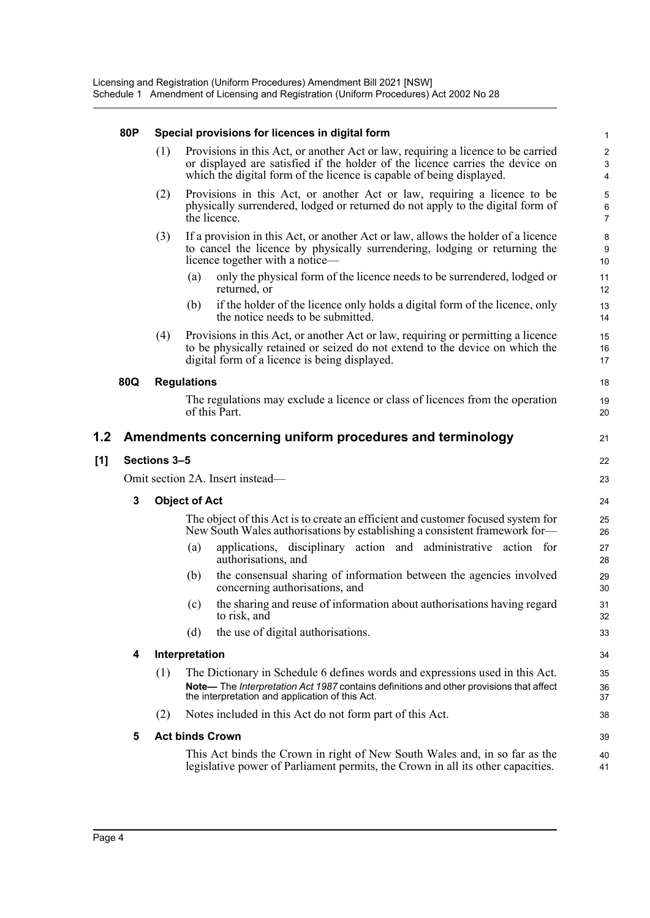#### **80P Special provisions for licences in digital form**

| (1) Provisions in this Act, or another Act or law, requiring a licence to be carried |
|--------------------------------------------------------------------------------------|
| or displayed are satisfied if the holder of the licence carries the device on        |
| which the digital form of the licence is capable of being displayed.                 |

21

22 23

39 40 41

- (2) Provisions in this Act, or another Act or law, requiring a licence to be physically surrendered, lodged or returned do not apply to the digital form of the licence.
- (3) If a provision in this Act, or another Act or law, allows the holder of a licence to cancel the licence by physically surrendering, lodging or returning the licence together with a notice—
	- (a) only the physical form of the licence needs to be surrendered, lodged or returned, or
	- (b) if the holder of the licence only holds a digital form of the licence, only the notice needs to be submitted.
- (4) Provisions in this Act, or another Act or law, requiring or permitting a licence to be physically retained or seized do not extend to the device on which the digital form of a licence is being displayed.

#### **80Q Regulations**

The regulations may exclude a licence or class of licences from the operation of this Part.

#### **1.2 Amendments concerning uniform procedures and terminology**

#### **[1] Sections 3–5**

Omit section 2A. Insert instead—

#### **3 Object of Act**

The object of this Act is to create an efficient and customer focused system for New South Wales authorisations by establishing a consistent framework for—

- (a) applications, disciplinary action and administrative action for authorisations, and
- (b) the consensual sharing of information between the agencies involved concerning authorisations, and
- (c) the sharing and reuse of information about authorisations having regard to risk, and
- (d) the use of digital authorisations.

#### **4 Interpretation**

- (1) The Dictionary in Schedule 6 defines words and expressions used in this Act. **Note—** The *Interpretation Act 1987* contains definitions and other provisions that affect the interpretation and application of this Act.
- (2) Notes included in this Act do not form part of this Act.

#### **5 Act binds Crown**

This Act binds the Crown in right of New South Wales and, in so far as the legislative power of Parliament permits, the Crown in all its other capacities.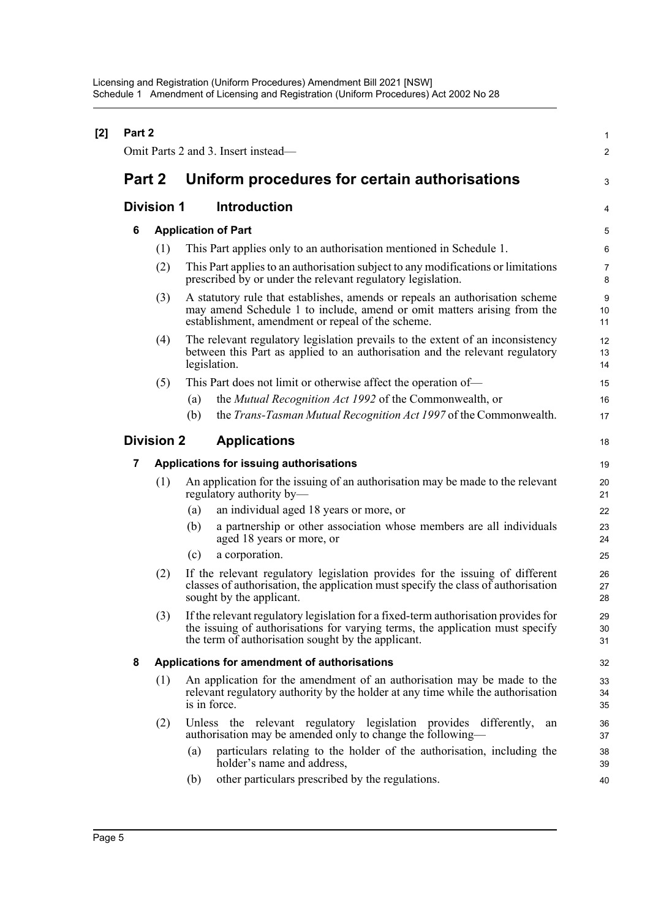| [2] | Part 2                                   |                   |                                                                                                                                                                                                                           |                     |  |  |
|-----|------------------------------------------|-------------------|---------------------------------------------------------------------------------------------------------------------------------------------------------------------------------------------------------------------------|---------------------|--|--|
|     |                                          |                   | Omit Parts 2 and 3. Insert instead—                                                                                                                                                                                       | $\overline{2}$      |  |  |
|     | Part 2                                   |                   | Uniform procedures for certain authorisations                                                                                                                                                                             |                     |  |  |
|     |                                          | <b>Division 1</b> | Introduction                                                                                                                                                                                                              | 4                   |  |  |
|     | 6                                        |                   | <b>Application of Part</b>                                                                                                                                                                                                | 5                   |  |  |
|     |                                          | (1)               | This Part applies only to an authorisation mentioned in Schedule 1.                                                                                                                                                       | 6                   |  |  |
|     |                                          | (2)               | This Part applies to an authorisation subject to any modifications or limitations<br>prescribed by or under the relevant regulatory legislation.                                                                          | $\overline{7}$<br>8 |  |  |
|     |                                          | (3)               | A statutory rule that establishes, amends or repeals an authorisation scheme<br>may amend Schedule 1 to include, amend or omit matters arising from the<br>establishment, amendment or repeal of the scheme.              | 9<br>10<br>11       |  |  |
|     |                                          | (4)               | The relevant regulatory legislation prevails to the extent of an inconsistency<br>between this Part as applied to an authorisation and the relevant regulatory<br>legislation.                                            | 12<br>13<br>14      |  |  |
|     |                                          | (5)               | This Part does not limit or otherwise affect the operation of—                                                                                                                                                            | 15                  |  |  |
|     |                                          |                   | the <i>Mutual Recognition Act 1992</i> of the Commonwealth, or<br>(a)                                                                                                                                                     | 16                  |  |  |
|     |                                          |                   | the <i>Trans-Tasman Mutual Recognition Act 1997</i> of the Commonwealth.<br>(b)                                                                                                                                           | 17                  |  |  |
|     | <b>Division 2</b><br><b>Applications</b> |                   |                                                                                                                                                                                                                           |                     |  |  |
|     | 7                                        |                   | Applications for issuing authorisations                                                                                                                                                                                   | 19                  |  |  |
|     |                                          | (1)               | An application for the issuing of an authorisation may be made to the relevant<br>regulatory authority by-                                                                                                                | 20<br>21            |  |  |
|     |                                          |                   | an individual aged 18 years or more, or<br>(a)                                                                                                                                                                            | 22                  |  |  |
|     |                                          |                   | a partnership or other association whose members are all individuals<br>(b)<br>aged 18 years or more, or                                                                                                                  | 23<br>24            |  |  |
|     |                                          |                   | a corporation.<br>(c)                                                                                                                                                                                                     | 25                  |  |  |
|     |                                          | (2)               | If the relevant regulatory legislation provides for the issuing of different<br>classes of authorisation, the application must specify the class of authorisation<br>sought by the applicant.                             | 26<br>27<br>28      |  |  |
|     |                                          | (3)               | If the relevant regulatory legislation for a fixed-term authorisation provides for<br>the issuing of authorisations for varying terms, the application must specify<br>the term of authorisation sought by the applicant. | 29<br>30<br>31      |  |  |
|     | 8                                        |                   | Applications for amendment of authorisations                                                                                                                                                                              | 32                  |  |  |
|     |                                          | (1)               | An application for the amendment of an authorisation may be made to the<br>relevant regulatory authority by the holder at any time while the authorisation<br>is in force.                                                | 33<br>34<br>35      |  |  |
|     |                                          | (2)               | Unless the relevant regulatory legislation provides differently,<br>an<br>authorisation may be amended only to change the following—                                                                                      | 36<br>37            |  |  |
|     |                                          |                   | particulars relating to the holder of the authorisation, including the<br>(a)<br>holder's name and address,                                                                                                               | 38<br>39            |  |  |
|     |                                          |                   | other particulars prescribed by the regulations.<br>(b)                                                                                                                                                                   | 40                  |  |  |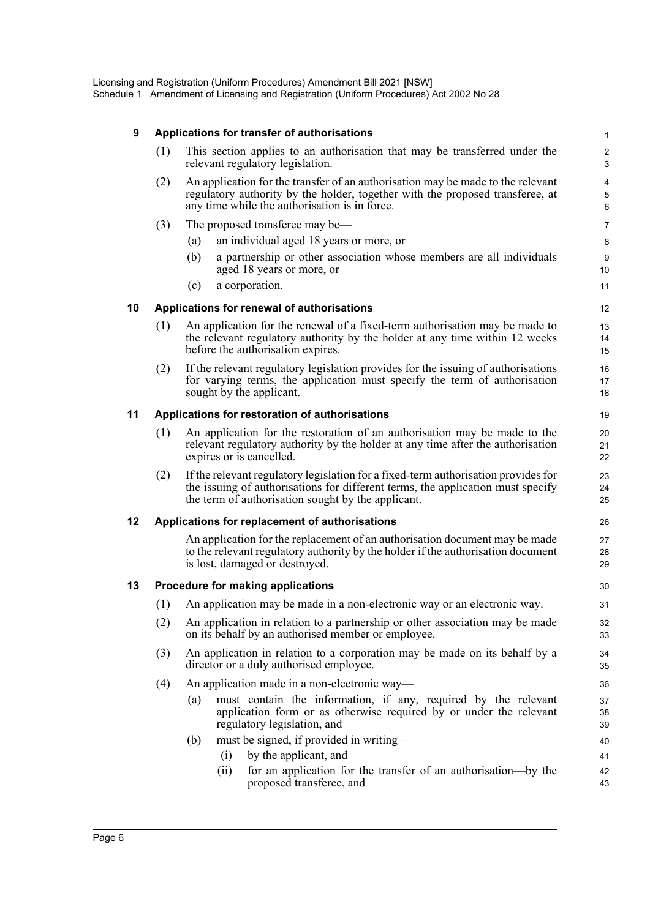### **9 Applications for transfer of authorisations**

| (1) | This section applies to an authorisation that may be transferred under the<br>relevant regulatory legislation.                                                                                                    |
|-----|-------------------------------------------------------------------------------------------------------------------------------------------------------------------------------------------------------------------|
| (2) | An application for the transfer of an authorisation may be made to the relevant<br>regulatory authority by the holder, together with the proposed transferee, at<br>any time while the authorisation is in force. |

- (3) The proposed transferee may be—
	- (a) an individual aged 18 years or more, or
	- (b) a partnership or other association whose members are all individuals aged 18 years or more, or
	- (c) a corporation.

#### **10 Applications for renewal of authorisations**

- (1) An application for the renewal of a fixed-term authorisation may be made to the relevant regulatory authority by the holder at any time within 12 weeks before the authorisation expires.
- (2) If the relevant regulatory legislation provides for the issuing of authorisations for varying terms, the application must specify the term of authorisation sought by the applicant.

#### **11 Applications for restoration of authorisations**

- (1) An application for the restoration of an authorisation may be made to the relevant regulatory authority by the holder at any time after the authorisation expires or is cancelled.
- (2) If the relevant regulatory legislation for a fixed-term authorisation provides for the issuing of authorisations for different terms, the application must specify the term of authorisation sought by the applicant.

#### **12 Applications for replacement of authorisations**

An application for the replacement of an authorisation document may be made to the relevant regulatory authority by the holder if the authorisation document is lost, damaged or destroyed.

#### **13 Procedure for making applications**

- (1) An application may be made in a non-electronic way or an electronic way.
- (2) An application in relation to a partnership or other association may be made on its behalf by an authorised member or employee.
- (3) An application in relation to a corporation may be made on its behalf by a director or a duly authorised employee.
- (4) An application made in a non-electronic way—
	- (a) must contain the information, if any, required by the relevant application form or as otherwise required by or under the relevant regulatory legislation, and
	- (b) must be signed, if provided in writing—
		- (i) by the applicant, and (ii) for an application for the transfer of an authorisation—by the proposed transferee, and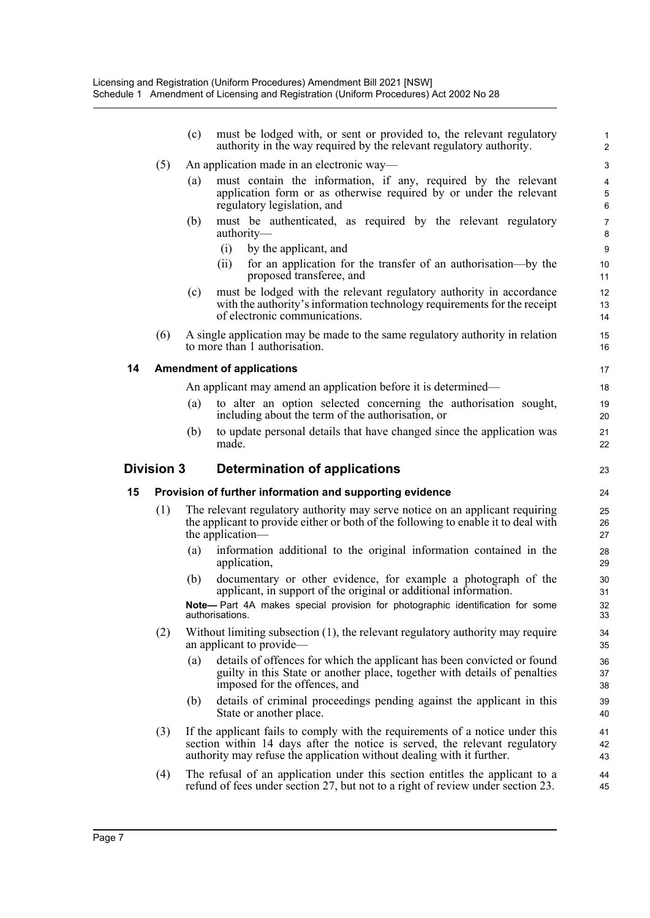|    |                   | (c)               | must be lodged with, or sent or provided to, the relevant regulatory<br>authority in the way required by the relevant regulatory authority.                                                                                          | $\mathbf{1}$<br>$\overline{2}$              |
|----|-------------------|-------------------|--------------------------------------------------------------------------------------------------------------------------------------------------------------------------------------------------------------------------------------|---------------------------------------------|
|    | (5)               |                   | An application made in an electronic way—                                                                                                                                                                                            | 3                                           |
|    |                   | (a)               | must contain the information, if any, required by the relevant<br>application form or as otherwise required by or under the relevant<br>regulatory legislation, and                                                                  | $\overline{\mathbf{4}}$<br>$\mathbf 5$<br>6 |
|    |                   | (b)               | must be authenticated, as required by the relevant regulatory<br>authority-                                                                                                                                                          | 7<br>$\bf 8$                                |
|    |                   |                   | (i)<br>by the applicant, and                                                                                                                                                                                                         | $\boldsymbol{9}$                            |
|    |                   |                   | for an application for the transfer of an authorisation—by the<br>(ii)<br>proposed transferee, and                                                                                                                                   | 10<br>11                                    |
|    |                   | (c)               | must be lodged with the relevant regulatory authority in accordance<br>with the authority's information technology requirements for the receipt<br>of electronic communications.                                                     | 12<br>13<br>14                              |
|    | (6)               |                   | A single application may be made to the same regulatory authority in relation<br>to more than 1 authorisation.                                                                                                                       | 15<br>16                                    |
| 14 |                   |                   | <b>Amendment of applications</b>                                                                                                                                                                                                     | 17                                          |
|    |                   |                   | An applicant may amend an application before it is determined—                                                                                                                                                                       | 18                                          |
|    |                   | (a)               | to alter an option selected concerning the authorisation sought,<br>including about the term of the authorisation, or                                                                                                                | 19<br>20                                    |
|    |                   | (b)               | to update personal details that have changed since the application was<br>made.                                                                                                                                                      | 21<br>22                                    |
|    |                   |                   |                                                                                                                                                                                                                                      |                                             |
|    | <b>Division 3</b> |                   | Determination of applications                                                                                                                                                                                                        | 23                                          |
| 15 |                   |                   | Provision of further information and supporting evidence                                                                                                                                                                             | 24                                          |
|    | (1)               |                   | The relevant regulatory authority may serve notice on an applicant requiring<br>the applicant to provide either or both of the following to enable it to deal with<br>the application—                                               | 25<br>26<br>27                              |
|    |                   | $\left( a\right)$ | information additional to the original information contained in the<br>application,                                                                                                                                                  | 28<br>29                                    |
|    |                   | (b)               | documentary or other evidence, for example a photograph of the<br>applicant, in support of the original or additional information.                                                                                                   | 30<br>31                                    |
|    |                   |                   | Note- Part 4A makes special provision for photographic identification for some<br>authorisations.                                                                                                                                    | 32<br>33                                    |
|    | (2)               |                   | Without limiting subsection (1), the relevant regulatory authority may require<br>an applicant to provide-                                                                                                                           | 34<br>35                                    |
|    |                   | (a)               | details of offences for which the applicant has been convicted or found<br>guilty in this State or another place, together with details of penalties<br>imposed for the offences, and                                                | 36<br>37<br>38                              |
|    |                   | (b)               | details of criminal proceedings pending against the applicant in this<br>State or another place.                                                                                                                                     | 39<br>40                                    |
|    | (3)               |                   | If the applicant fails to comply with the requirements of a notice under this<br>section within 14 days after the notice is served, the relevant regulatory<br>authority may refuse the application without dealing with it further. | 41<br>42<br>43                              |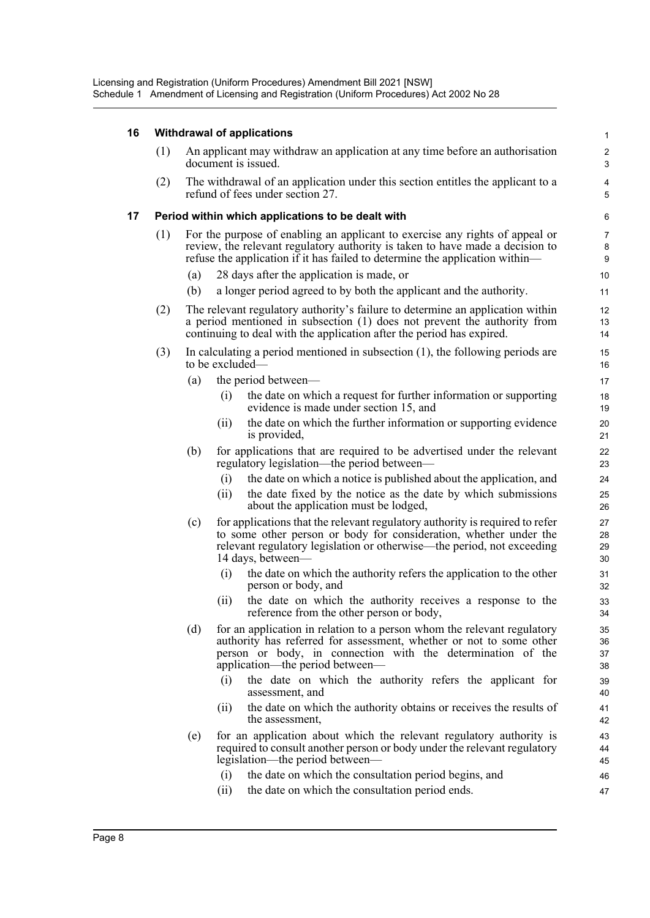### **16 Withdrawal of applications**

| 16 |     |     |      | Withdrawal of applications                                                                                                                                                                                                                       | 1                               |
|----|-----|-----|------|--------------------------------------------------------------------------------------------------------------------------------------------------------------------------------------------------------------------------------------------------|---------------------------------|
|    | (1) |     |      | An applicant may withdraw an application at any time before an authorisation<br>document is issued.                                                                                                                                              | $\boldsymbol{2}$<br>$\mathsf 3$ |
|    | (2) |     |      | The withdrawal of an application under this section entitles the applicant to a<br>refund of fees under section 27.                                                                                                                              | $\overline{4}$<br>5             |
| 17 |     |     |      | Period within which applications to be dealt with                                                                                                                                                                                                | 6                               |
|    | (1) |     |      | For the purpose of enabling an applicant to exercise any rights of appeal or<br>review, the relevant regulatory authority is taken to have made a decision to<br>refuse the application if it has failed to determine the application within—    | $\overline{7}$<br>8<br>9        |
|    |     | (a) |      | 28 days after the application is made, or                                                                                                                                                                                                        | 10                              |
|    |     | (b) |      | a longer period agreed to by both the applicant and the authority.                                                                                                                                                                               | 11                              |
|    | (2) |     |      | The relevant regulatory authority's failure to determine an application within<br>a period mentioned in subsection (1) does not prevent the authority from<br>continuing to deal with the application after the period has expired.              | 12<br>13<br>14                  |
|    | (3) |     |      | In calculating a period mentioned in subsection $(1)$ , the following periods are<br>to be excluded—                                                                                                                                             | 15<br>16                        |
|    |     | (a) |      | the period between—                                                                                                                                                                                                                              | 17                              |
|    |     |     | (i)  | the date on which a request for further information or supporting<br>evidence is made under section 15, and                                                                                                                                      | 18<br>19                        |
|    |     |     | (11) | the date on which the further information or supporting evidence<br>is provided,                                                                                                                                                                 | 20<br>21                        |
|    |     | (b) |      | for applications that are required to be advertised under the relevant<br>regulatory legislation—the period between—                                                                                                                             | 22<br>23                        |
|    |     |     | (i)  | the date on which a notice is published about the application, and                                                                                                                                                                               | 24                              |
|    |     |     | (i)  | the date fixed by the notice as the date by which submissions<br>about the application must be lodged,                                                                                                                                           | 25<br>26                        |
|    |     | (c) |      | for applications that the relevant regulatory authority is required to refer<br>to some other person or body for consideration, whether under the<br>relevant regulatory legislation or otherwise—the period, not exceeding<br>14 days, between- | 27<br>28<br>29<br>30            |
|    |     |     | (i)  | the date on which the authority refers the application to the other<br>person or body, and                                                                                                                                                       | 31<br>32                        |
|    |     |     | (i)  | the date on which the authority receives a response to the<br>reference from the other person or body,                                                                                                                                           | 33<br>34                        |
|    |     | (d) |      | for an application in relation to a person whom the relevant regulatory<br>authority has referred for assessment, whether or not to some other<br>person or body, in connection with the determination of the<br>application—the period between— | 35<br>36<br>37<br>38            |
|    |     |     | (i)  | the date on which the authority refers the applicant for<br>assessment, and                                                                                                                                                                      | 39<br>40                        |
|    |     |     | (11) | the date on which the authority obtains or receives the results of<br>the assessment,                                                                                                                                                            | 41<br>42                        |
|    |     | (e) |      | for an application about which the relevant regulatory authority is<br>required to consult another person or body under the relevant regulatory<br>legislation-the period between-                                                               | 43<br>44<br>45                  |
|    |     |     | (i)  | the date on which the consultation period begins, and                                                                                                                                                                                            | 46                              |
|    |     |     | (ii) | the date on which the consultation period ends.                                                                                                                                                                                                  | 47                              |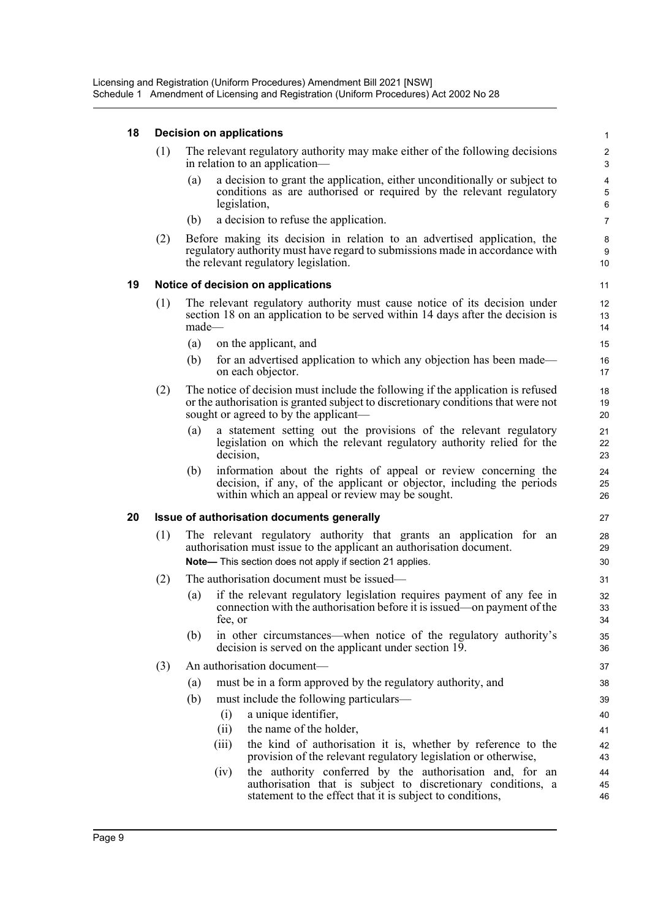#### **18 Decision on applications**

| (1) | The relevant regulatory authority may make either of the following decisions |
|-----|------------------------------------------------------------------------------|
|     | in relation to an application—                                               |

(a) a decision to grant the application, either unconditionally or subject to conditions as are authorised or required by the relevant regulatory legislation,

- (b) a decision to refuse the application.
- (2) Before making its decision in relation to an advertised application, the regulatory authority must have regard to submissions made in accordance with the relevant regulatory legislation.

#### **19 Notice of decision on applications**

- (1) The relevant regulatory authority must cause notice of its decision under section 18 on an application to be served within 14 days after the decision is made—
	- (a) on the applicant, and
	- (b) for an advertised application to which any objection has been made on each objector.
- (2) The notice of decision must include the following if the application is refused or the authorisation is granted subject to discretionary conditions that were not sought or agreed to by the applicant—
	- (a) a statement setting out the provisions of the relevant regulatory legislation on which the relevant regulatory authority relied for the decision,
	- (b) information about the rights of appeal or review concerning the decision, if any, of the applicant or objector, including the periods within which an appeal or review may be sought.

#### **20 Issue of authorisation documents generally**

- (1) The relevant regulatory authority that grants an application for an authorisation must issue to the applicant an authorisation document. **Note—** This section does not apply if section 21 applies.
- (2) The authorisation document must be issued—
	- (a) if the relevant regulatory legislation requires payment of any fee in connection with the authorisation before it is issued—on payment of the fee, or
	- (b) in other circumstances—when notice of the regulatory authority's decision is served on the applicant under section 19.
- (3) An authorisation document—
	- (a) must be in a form approved by the regulatory authority, and
	- (b) must include the following particulars—
		- (i) a unique identifier,
		- (ii) the name of the holder,
		- (iii) the kind of authorisation it is, whether by reference to the provision of the relevant regulatory legislation or otherwise,
		- (iv) the authority conferred by the authorisation and, for an authorisation that is subject to discretionary conditions, a statement to the effect that it is subject to conditions,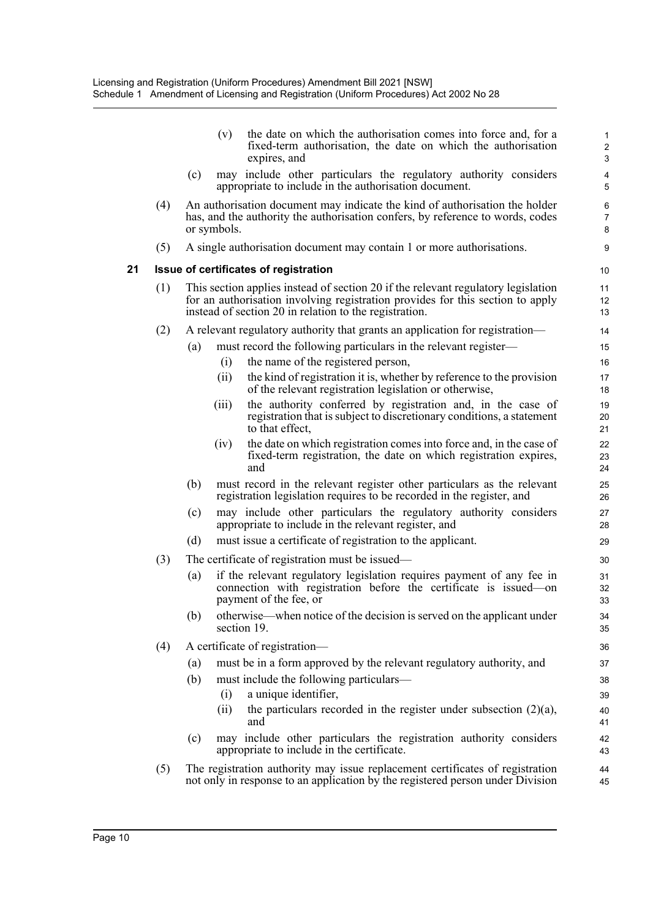|    |     |     | (v)         | the date on which the authorisation comes into force and, for a<br>fixed-term authorisation, the date on which the authorisation<br>expires, and                                                                              | $\mathbf{1}$<br>$\overline{c}$<br>3 |
|----|-----|-----|-------------|-------------------------------------------------------------------------------------------------------------------------------------------------------------------------------------------------------------------------------|-------------------------------------|
|    |     | (c) |             | may include other particulars the regulatory authority considers<br>appropriate to include in the authorisation document.                                                                                                     | $\overline{4}$<br>5                 |
|    | (4) |     | or symbols. | An authorisation document may indicate the kind of authorisation the holder<br>has, and the authority the authorisation confers, by reference to words, codes                                                                 | 6<br>7<br>8                         |
|    | (5) |     |             | A single authorisation document may contain 1 or more authorisations.                                                                                                                                                         | 9                                   |
| 21 |     |     |             | Issue of certificates of registration                                                                                                                                                                                         | 10                                  |
|    | (1) |     |             | This section applies instead of section 20 if the relevant regulatory legislation<br>for an authorisation involving registration provides for this section to apply<br>instead of section 20 in relation to the registration. | 11<br>12<br>13                      |
|    | (2) |     |             | A relevant regulatory authority that grants an application for registration—                                                                                                                                                  | 14                                  |
|    |     | (a) |             | must record the following particulars in the relevant register—                                                                                                                                                               | 15                                  |
|    |     |     | (i)         | the name of the registered person,                                                                                                                                                                                            | 16                                  |
|    |     |     | (ii)        | the kind of registration it is, whether by reference to the provision<br>of the relevant registration legislation or otherwise,                                                                                               | 17<br>18                            |
|    |     |     | (111)       | the authority conferred by registration and, in the case of<br>registration that is subject to discretionary conditions, a statement<br>to that effect,                                                                       | 19<br>20<br>21                      |
|    |     |     | (iv)        | the date on which registration comes into force and, in the case of<br>fixed-term registration, the date on which registration expires,<br>and                                                                                | 22<br>23<br>24                      |
|    |     | (b) |             | must record in the relevant register other particulars as the relevant<br>registration legislation requires to be recorded in the register, and                                                                               | 25<br>26                            |
|    |     | (c) |             | may include other particulars the regulatory authority considers<br>appropriate to include in the relevant register, and                                                                                                      | 27<br>28                            |
|    |     | (d) |             | must issue a certificate of registration to the applicant.                                                                                                                                                                    | 29                                  |
|    | (3) |     |             | The certificate of registration must be issued—                                                                                                                                                                               | 30                                  |
|    |     | (a) |             | if the relevant regulatory legislation requires payment of any fee in<br>connection with registration before the certificate is issued-on<br>payment of the fee, or                                                           | 31<br>32<br>33                      |
|    |     | (b) |             | otherwise—when notice of the decision is served on the applicant under<br>section 19.                                                                                                                                         | 34<br>35                            |
|    | (4) |     |             | A certificate of registration-                                                                                                                                                                                                | 36                                  |
|    |     | (a) |             | must be in a form approved by the relevant regulatory authority, and                                                                                                                                                          | 37                                  |
|    |     | (b) |             | must include the following particulars—                                                                                                                                                                                       | 38                                  |
|    |     |     | (i)         | a unique identifier,                                                                                                                                                                                                          | 39                                  |
|    |     |     | (ii)        | the particulars recorded in the register under subsection $(2)(a)$ ,<br>and                                                                                                                                                   | 40<br>41                            |
|    |     | (c) |             | may include other particulars the registration authority considers<br>appropriate to include in the certificate.                                                                                                              | 42<br>43                            |
|    | (5) |     |             | The registration authority may issue replacement certificates of registration<br>not only in response to an application by the registered person under Division                                                               | 44<br>45                            |
|    |     |     |             |                                                                                                                                                                                                                               |                                     |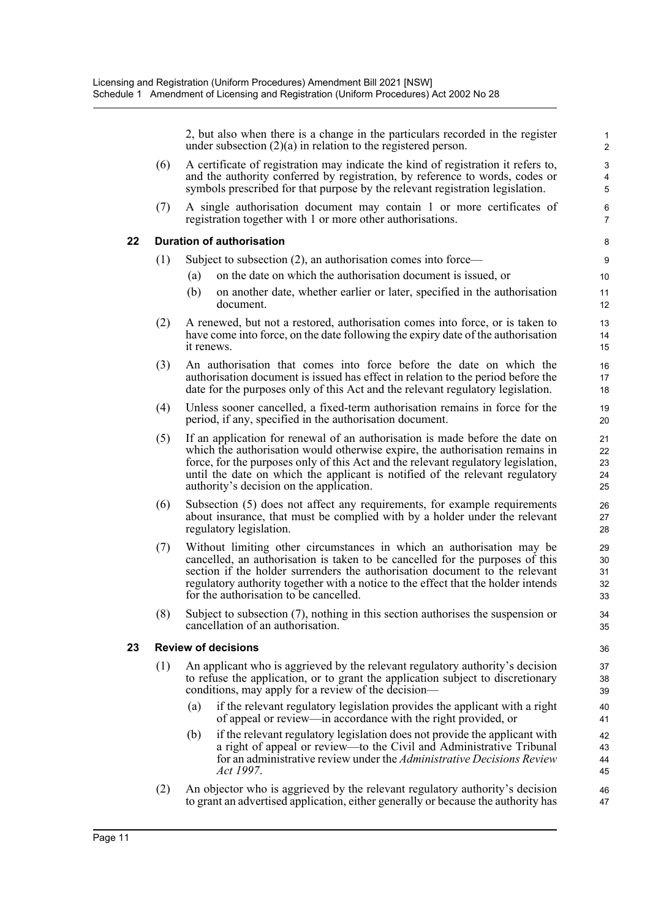2, but also when there is a change in the particulars recorded in the register under subsection (2)(a) in relation to the registered person.

1

|    |                            | under subsection $(2)(a)$ in relation to the registered person.                                                                                                                                                                                                                                                                                                               | 2                                                |  |  |  |
|----|----------------------------|-------------------------------------------------------------------------------------------------------------------------------------------------------------------------------------------------------------------------------------------------------------------------------------------------------------------------------------------------------------------------------|--------------------------------------------------|--|--|--|
|    | (6)                        | A certificate of registration may indicate the kind of registration it refers to,<br>and the authority conferred by registration, by reference to words, codes or<br>symbols prescribed for that purpose by the relevant registration legislation.                                                                                                                            | $\ensuremath{\mathsf{3}}$<br>$\overline{4}$<br>5 |  |  |  |
|    | (7)                        | A single authorisation document may contain 1 or more certificates of<br>registration together with 1 or more other authorisations.                                                                                                                                                                                                                                           | 6<br>7                                           |  |  |  |
| 22 |                            | <b>Duration of authorisation</b>                                                                                                                                                                                                                                                                                                                                              | 8                                                |  |  |  |
|    | (1)                        | Subject to subsection $(2)$ , an authorisation comes into force—                                                                                                                                                                                                                                                                                                              | 9                                                |  |  |  |
|    |                            | on the date on which the authorisation document is issued, or<br>(a)                                                                                                                                                                                                                                                                                                          | 10                                               |  |  |  |
|    |                            | (b)<br>on another date, whether earlier or later, specified in the authorisation<br>document.                                                                                                                                                                                                                                                                                 | 11<br>12                                         |  |  |  |
|    | (2)                        | A renewed, but not a restored, authorisation comes into force, or is taken to<br>have come into force, on the date following the expiry date of the authorisation<br>it renews.                                                                                                                                                                                               | 13<br>14<br>15                                   |  |  |  |
|    | (3)                        | An authorisation that comes into force before the date on which the<br>authorisation document is issued has effect in relation to the period before the<br>date for the purposes only of this Act and the relevant regulatory legislation.                                                                                                                                    | 16<br>17<br>18                                   |  |  |  |
|    | (4)                        | Unless sooner cancelled, a fixed-term authorisation remains in force for the<br>period, if any, specified in the authorisation document.                                                                                                                                                                                                                                      | 19<br>20                                         |  |  |  |
|    | (5)                        | If an application for renewal of an authorisation is made before the date on<br>which the authorisation would otherwise expire, the authorisation remains in<br>force, for the purposes only of this Act and the relevant regulatory legislation,<br>until the date on which the applicant is notified of the relevant regulatory<br>authority's decision on the application. | 21<br>22<br>23<br>24<br>25                       |  |  |  |
|    | (6)                        | Subsection (5) does not affect any requirements, for example requirements<br>about insurance, that must be complied with by a holder under the relevant<br>regulatory legislation.                                                                                                                                                                                            | 26<br>27<br>28                                   |  |  |  |
|    | (7)                        | Without limiting other circumstances in which an authorisation may be<br>cancelled, an authorisation is taken to be cancelled for the purposes of this<br>section if the holder surrenders the authorisation document to the relevant<br>regulatory authority together with a notice to the effect that the holder intends<br>for the authorisation to be cancelled.          | 29<br>30<br>31<br>32<br>33                       |  |  |  |
|    | (8)                        | Subject to subsection $(7)$ , nothing in this section authorises the suspension or<br>cancellation of an authorisation.                                                                                                                                                                                                                                                       | 34<br>35                                         |  |  |  |
| 23 | <b>Review of decisions</b> |                                                                                                                                                                                                                                                                                                                                                                               |                                                  |  |  |  |
|    | (1)                        | An applicant who is aggrieved by the relevant regulatory authority's decision<br>to refuse the application, or to grant the application subject to discretionary<br>conditions, may apply for a review of the decision—                                                                                                                                                       | 37<br>38<br>39                                   |  |  |  |
|    |                            | if the relevant regulatory legislation provides the applicant with a right<br>(a)<br>of appeal or review—in accordance with the right provided, or                                                                                                                                                                                                                            | 40<br>41                                         |  |  |  |
|    |                            | if the relevant regulatory legislation does not provide the applicant with<br>(b)<br>a right of appeal or review—to the Civil and Administrative Tribunal<br>for an administrative review under the Administrative Decisions Review<br>Act 1997.                                                                                                                              | 42<br>43<br>44<br>45                             |  |  |  |
|    | (2)                        | An objector who is aggrieved by the relevant regulatory authority's decision<br>to grant an advertised application, either generally or because the authority has                                                                                                                                                                                                             | 46<br>47                                         |  |  |  |

**23**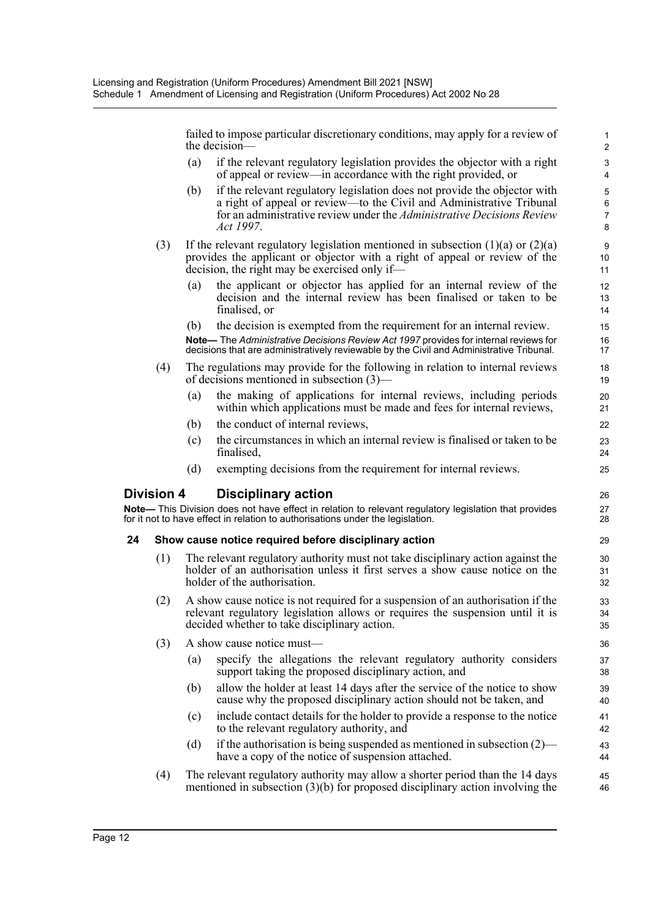failed to impose particular discretionary conditions, may apply for a review of the decision—

- (a) if the relevant regulatory legislation provides the objector with a right of appeal or review—in accordance with the right provided, or
- (b) if the relevant regulatory legislation does not provide the objector with a right of appeal or review—to the Civil and Administrative Tribunal for an administrative review under the *Administrative Decisions Review Act 1997*.
- (3) If the relevant regulatory legislation mentioned in subsection  $(1)(a)$  or  $(2)(a)$ provides the applicant or objector with a right of appeal or review of the decision, the right may be exercised only if—
	- (a) the applicant or objector has applied for an internal review of the decision and the internal review has been finalised or taken to be finalised, or
	- (b) the decision is exempted from the requirement for an internal review.

**Note—** The *Administrative Decisions Review Act 1997* provides for internal reviews for decisions that are administratively reviewable by the Civil and Administrative Tribunal.

- (4) The regulations may provide for the following in relation to internal reviews of decisions mentioned in subsection (3)—
	- (a) the making of applications for internal reviews, including periods within which applications must be made and fees for internal reviews,
	- (b) the conduct of internal reviews,
	- (c) the circumstances in which an internal review is finalised or taken to be finalised,
	- (d) exempting decisions from the requirement for internal reviews.

#### **Division 4 Disciplinary action**

**Note—** This Division does not have effect in relation to relevant regulatory legislation that provides for it not to have effect in relation to authorisations under the legislation.

#### **24 Show cause notice required before disciplinary action**

- (1) The relevant regulatory authority must not take disciplinary action against the holder of an authorisation unless it first serves a show cause notice on the holder of the authorisation.
- (2) A show cause notice is not required for a suspension of an authorisation if the relevant regulatory legislation allows or requires the suspension until it is decided whether to take disciplinary action.
- (3) A show cause notice must—
	- (a) specify the allegations the relevant regulatory authority considers support taking the proposed disciplinary action, and
	- (b) allow the holder at least 14 days after the service of the notice to show cause why the proposed disciplinary action should not be taken, and
	- (c) include contact details for the holder to provide a response to the notice to the relevant regulatory authority, and
	- (d) if the authorisation is being suspended as mentioned in subsection  $(2)$  have a copy of the notice of suspension attached.
- (4) The relevant regulatory authority may allow a shorter period than the 14 days mentioned in subsection (3)(b) for proposed disciplinary action involving the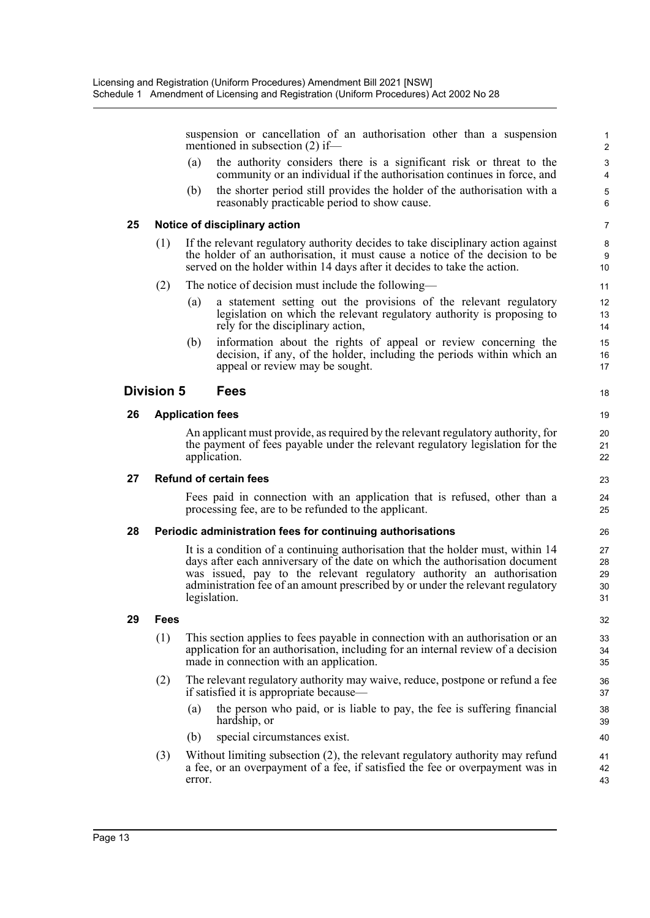suspension or cancellation of an authorisation other than a suspension mentioned in subsection (2) if— (a) the authority considers there is a significant risk or threat to the community or an individual if the authorisation continues in force, and (b) the shorter period still provides the holder of the authorisation with a reasonably practicable period to show cause. **25 Notice of disciplinary action** (1) If the relevant regulatory authority decides to take disciplinary action against the holder of an authorisation, it must cause a notice of the decision to be served on the holder within 14 days after it decides to take the action. (2) The notice of decision must include the following— (a) a statement setting out the provisions of the relevant regulatory legislation on which the relevant regulatory authority is proposing to rely for the disciplinary action, (b) information about the rights of appeal or review concerning the decision, if any, of the holder, including the periods within which an appeal or review may be sought. **Division 5 Fees 26 Application fees** An applicant must provide, as required by the relevant regulatory authority, for the payment of fees payable under the relevant regulatory legislation for the application. **27 Refund of certain fees** Fees paid in connection with an application that is refused, other than a processing fee, are to be refunded to the applicant. **28 Periodic administration fees for continuing authorisations** It is a condition of a continuing authorisation that the holder must, within 14 days after each anniversary of the date on which the authorisation document was issued, pay to the relevant regulatory authority an authorisation administration fee of an amount prescribed by or under the relevant regulatory legislation. **29 Fees** (1) This section applies to fees payable in connection with an authorisation or an application for an authorisation, including for an internal review of a decision made in connection with an application. 1 2 3 4 5 6 7 8 9 10 11 12 13 14 15 16 17 18 19  $20$ 21 22 23 24 25 26 27 28 29 30 31 32 33 34 35

- (2) The relevant regulatory authority may waive, reduce, postpone or refund a fee if satisfied it is appropriate because—
	- (a) the person who paid, or is liable to pay, the fee is suffering financial hardship, or

- (b) special circumstances exist.
- (3) Without limiting subsection (2), the relevant regulatory authority may refund a fee, or an overpayment of a fee, if satisfied the fee or overpayment was in error.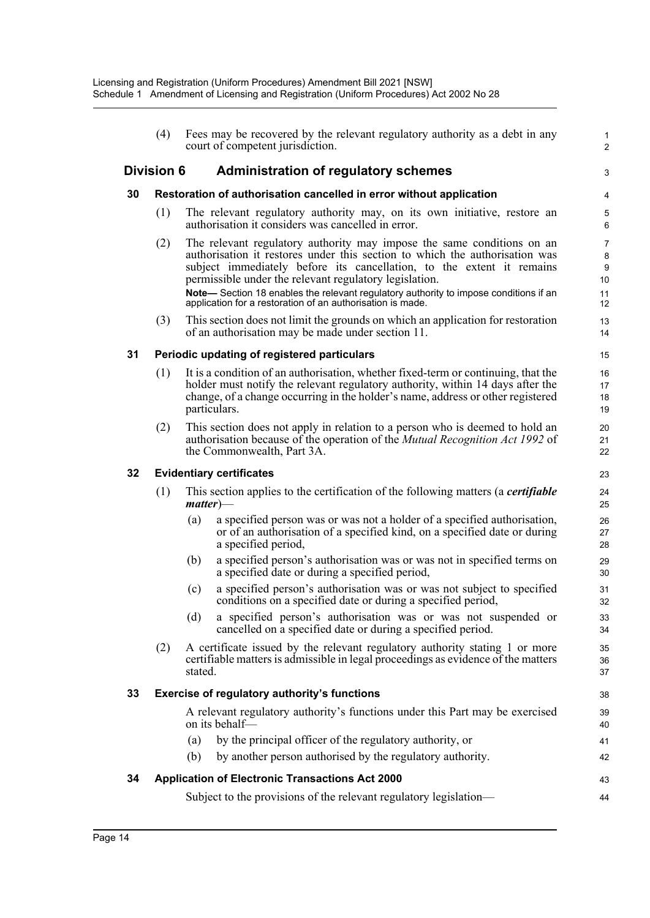|    | (4)               |         | Fees may be recovered by the relevant regulatory authority as a debt in any<br>court of competent jurisdiction.                                                                                                                                                                                                                                                                  | 1<br>$\overline{c}$     |
|----|-------------------|---------|----------------------------------------------------------------------------------------------------------------------------------------------------------------------------------------------------------------------------------------------------------------------------------------------------------------------------------------------------------------------------------|-------------------------|
|    | <b>Division 6</b> |         | <b>Administration of regulatory schemes</b>                                                                                                                                                                                                                                                                                                                                      | 3                       |
| 30 |                   |         | Restoration of authorisation cancelled in error without application                                                                                                                                                                                                                                                                                                              | 4                       |
|    | (1)               |         | The relevant regulatory authority may, on its own initiative, restore an<br>authorisation it considers was cancelled in error.                                                                                                                                                                                                                                                   | 5<br>6                  |
|    | (2)               |         | The relevant regulatory authority may impose the same conditions on an<br>authorisation it restores under this section to which the authorisation was<br>subject immediately before its cancellation, to the extent it remains<br>permissible under the relevant regulatory legislation.<br>Note-Section 18 enables the relevant regulatory authority to impose conditions if an | 7<br>8<br>9<br>10<br>11 |
|    | (3)               |         | application for a restoration of an authorisation is made.<br>This section does not limit the grounds on which an application for restoration<br>of an authorisation may be made under section 11.                                                                                                                                                                               | 12<br>13<br>14          |
| 31 |                   |         | Periodic updating of registered particulars                                                                                                                                                                                                                                                                                                                                      | 15                      |
|    | (1)               |         | It is a condition of an authorisation, whether fixed-term or continuing, that the<br>holder must notify the relevant regulatory authority, within 14 days after the<br>change, of a change occurring in the holder's name, address or other registered<br>particulars.                                                                                                           | 16<br>17<br>18<br>19    |
|    | (2)               |         | This section does not apply in relation to a person who is deemed to hold an<br>authorisation because of the operation of the <i>Mutual Recognition Act 1992</i> of<br>the Commonwealth, Part 3A.                                                                                                                                                                                | 20<br>21<br>22          |
| 32 |                   |         | <b>Evidentiary certificates</b>                                                                                                                                                                                                                                                                                                                                                  | 23                      |
|    | (1)               |         | This section applies to the certification of the following matters (a certifiable<br>$matter)$ —                                                                                                                                                                                                                                                                                 | 24<br>25                |
|    |                   | (a)     | a specified person was or was not a holder of a specified authorisation,<br>or of an authorisation of a specified kind, on a specified date or during<br>a specified period,                                                                                                                                                                                                     | 26<br>27<br>28          |
|    |                   | (b)     | a specified person's authorisation was or was not in specified terms on<br>a specified date or during a specified period,                                                                                                                                                                                                                                                        | 29<br>30                |
|    |                   | (c)     | a specified person's authorisation was or was not subject to specified<br>conditions on a specified date or during a specified period,                                                                                                                                                                                                                                           | 31<br>32                |
|    |                   | (d)     | a specified person's authorisation was or was not suspended or<br>cancelled on a specified date or during a specified period.                                                                                                                                                                                                                                                    | 33<br>34                |
|    | (2)               | stated. | A certificate issued by the relevant regulatory authority stating 1 or more<br>certifiable matters is admissible in legal proceedings as evidence of the matters                                                                                                                                                                                                                 | 35<br>36<br>37          |
| 33 |                   |         | Exercise of regulatory authority's functions                                                                                                                                                                                                                                                                                                                                     | 38                      |
|    |                   |         | A relevant regulatory authority's functions under this Part may be exercised<br>on its behalf—                                                                                                                                                                                                                                                                                   | 39<br>40                |
|    |                   | (a)     | by the principal officer of the regulatory authority, or                                                                                                                                                                                                                                                                                                                         | 41                      |
|    |                   | (b)     | by another person authorised by the regulatory authority.                                                                                                                                                                                                                                                                                                                        | 42                      |
| 34 |                   |         | <b>Application of Electronic Transactions Act 2000</b>                                                                                                                                                                                                                                                                                                                           | 43                      |
|    |                   |         | Subject to the provisions of the relevant regulatory legislation—                                                                                                                                                                                                                                                                                                                | 44                      |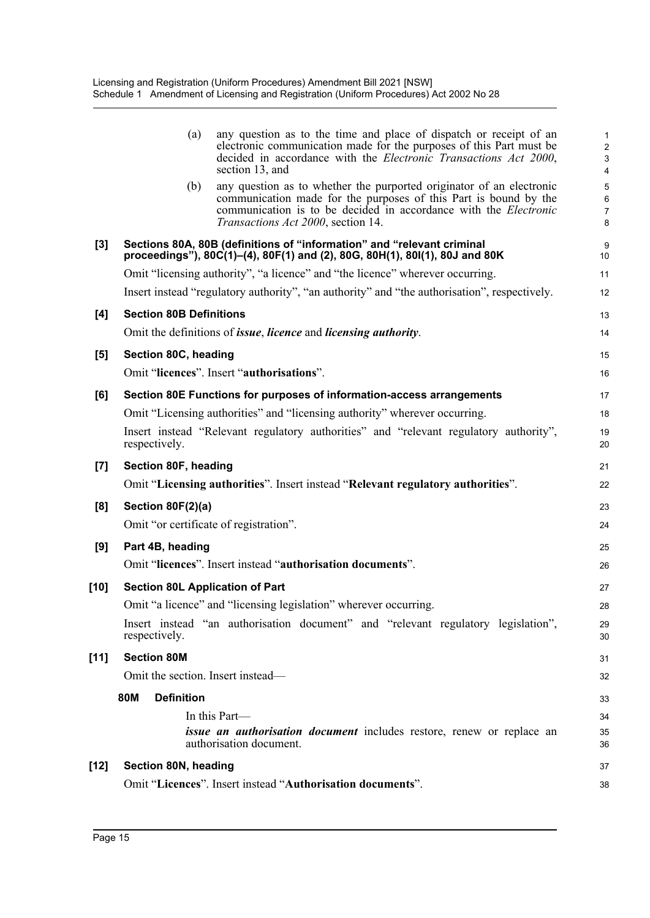|        | (a)                                    | any question as to the time and place of dispatch or receipt of an<br>electronic communication made for the purposes of this Part must be<br>decided in accordance with the Electronic Transactions Act 2000,<br>section 13, and                          | 1<br>$\overline{\mathbf{c}}$<br>3<br>4 |
|--------|----------------------------------------|-----------------------------------------------------------------------------------------------------------------------------------------------------------------------------------------------------------------------------------------------------------|----------------------------------------|
|        | (b)                                    | any question as to whether the purported originator of an electronic<br>communication made for the purposes of this Part is bound by the<br>communication is to be decided in accordance with the <i>Electronic</i><br>Transactions Act 2000, section 14. | 5<br>6<br>7<br>8                       |
| $[3]$  |                                        | Sections 80A, 80B (definitions of "information" and "relevant criminal<br>proceedings"), 80C(1)-(4), 80F(1) and (2), 80G, 80H(1), 80I(1), 80J and 80K                                                                                                     | 9<br>10                                |
|        |                                        | Omit "licensing authority", "a licence" and "the licence" wherever occurring.                                                                                                                                                                             | 11                                     |
|        |                                        | Insert instead "regulatory authority", "an authority" and "the authorisation", respectively.                                                                                                                                                              | 12                                     |
| [4]    | <b>Section 80B Definitions</b>         |                                                                                                                                                                                                                                                           | 13                                     |
|        |                                        | Omit the definitions of <i>issue</i> , <i>licence</i> and <i>licensing authority</i> .                                                                                                                                                                    | 14                                     |
| [5]    | Section 80C, heading                   |                                                                                                                                                                                                                                                           | 15                                     |
|        |                                        | Omit "licences". Insert "authorisations".                                                                                                                                                                                                                 | 16                                     |
| [6]    |                                        | Section 80E Functions for purposes of information-access arrangements                                                                                                                                                                                     | 17                                     |
|        |                                        | Omit "Licensing authorities" and "licensing authority" wherever occurring.                                                                                                                                                                                | 18                                     |
|        | respectively.                          | Insert instead "Relevant regulatory authorities" and "relevant regulatory authority",                                                                                                                                                                     | 19<br>20                               |
| $[7]$  | Section 80F, heading                   |                                                                                                                                                                                                                                                           | 21                                     |
|        |                                        | Omit "Licensing authorities". Insert instead "Relevant regulatory authorities".                                                                                                                                                                           | 22                                     |
| [8]    | Section 80F(2)(a)                      |                                                                                                                                                                                                                                                           | 23                                     |
|        |                                        | Omit "or certificate of registration".                                                                                                                                                                                                                    | 24                                     |
| [9]    | Part 4B, heading                       |                                                                                                                                                                                                                                                           | 25                                     |
|        |                                        | Omit "licences". Insert instead "authorisation documents".                                                                                                                                                                                                | 26                                     |
| [10]   | <b>Section 80L Application of Part</b> |                                                                                                                                                                                                                                                           | 27                                     |
|        |                                        | Omit "a licence" and "licensing legislation" wherever occurring.                                                                                                                                                                                          | 28                                     |
|        | respectively.                          | Insert instead "an authorisation document" and "relevant regulatory legislation",                                                                                                                                                                         | 29<br>30                               |
| $[11]$ | <b>Section 80M</b>                     |                                                                                                                                                                                                                                                           | 31                                     |
|        | Omit the section. Insert instead-      |                                                                                                                                                                                                                                                           | 32                                     |
|        | 80M<br><b>Definition</b>               |                                                                                                                                                                                                                                                           | 33                                     |
|        |                                        | In this Part-                                                                                                                                                                                                                                             | 34                                     |
|        |                                        | <i>issue an authorisation document</i> includes restore, renew or replace an<br>authorisation document.                                                                                                                                                   | 35<br>36                               |
| [12]   | Section 80N, heading                   |                                                                                                                                                                                                                                                           | 37                                     |
|        |                                        | Omit "Licences". Insert instead "Authorisation documents".                                                                                                                                                                                                | 38                                     |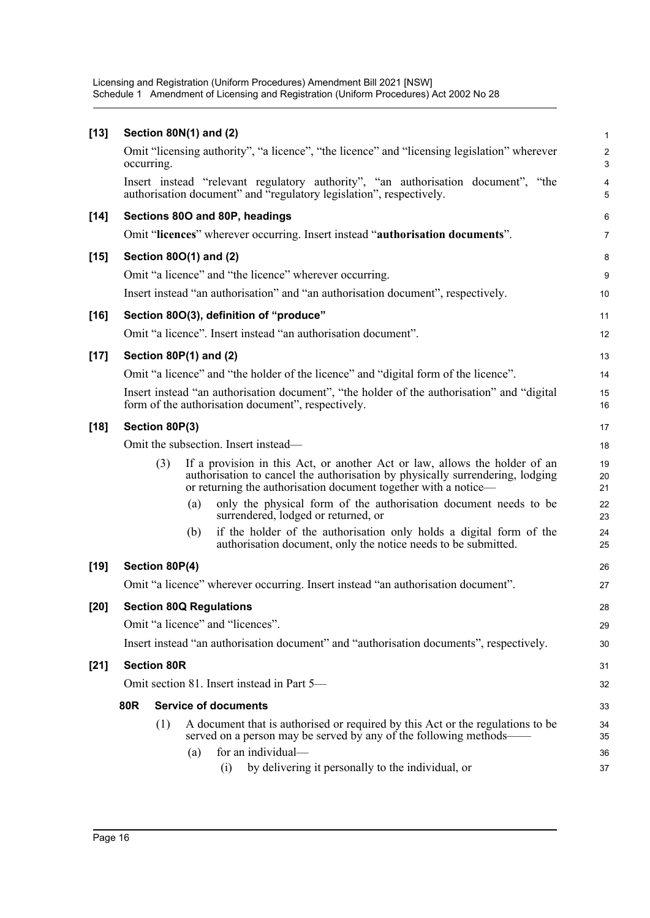Licensing and Registration (Uniform Procedures) Amendment Bill 2021 [NSW] Schedule 1 Amendment of Licensing and Registration (Uniform Procedures) Act 2002 No 28

| $[13]$ |                    | Section 80N(1) and (2)                                                                                                                                                                                                         | $\mathbf{1}$               |
|--------|--------------------|--------------------------------------------------------------------------------------------------------------------------------------------------------------------------------------------------------------------------------|----------------------------|
|        | occurring.         | Omit "licensing authority", "a licence", "the licence" and "licensing legislation" wherever                                                                                                                                    | $\sqrt{2}$<br>$\mathbf{3}$ |
|        |                    | Insert instead "relevant regulatory authority", "an authorisation document", "the<br>authorisation document" and "regulatory legislation", respectively.                                                                       | 4<br>5                     |
| $[14]$ |                    | Sections 80O and 80P, headings                                                                                                                                                                                                 | $\,6\,$                    |
|        |                    | Omit "licences" wherever occurring. Insert instead "authorisation documents".                                                                                                                                                  | $\overline{7}$             |
| $[15]$ |                    | Section 80O(1) and (2)                                                                                                                                                                                                         | 8                          |
|        |                    | Omit "a licence" and "the licence" wherever occurring.                                                                                                                                                                         | 9                          |
|        |                    | Insert instead "an authorisation" and "an authorisation document", respectively.                                                                                                                                               | 10                         |
| $[16]$ |                    | Section 80O(3), definition of "produce"                                                                                                                                                                                        | 11                         |
|        |                    | Omit "a licence". Insert instead "an authorisation document".                                                                                                                                                                  | 12                         |
| $[17]$ |                    | Section $80P(1)$ and $(2)$                                                                                                                                                                                                     | 13                         |
|        |                    | Omit "a licence" and "the holder of the licence" and "digital form of the licence".                                                                                                                                            | 14                         |
|        |                    | Insert instead "an authorisation document", "the holder of the authorisation" and "digital<br>form of the authorisation document", respectively.                                                                               | 15<br>16                   |
| $[18]$ | Section 80P(3)     |                                                                                                                                                                                                                                | 17                         |
|        |                    | Omit the subsection. Insert instead—                                                                                                                                                                                           | 18                         |
|        | (3)                | If a provision in this Act, or another Act or law, allows the holder of an<br>authorisation to cancel the authorisation by physically surrendering, lodging<br>or returning the authorisation document together with a notice- | 19<br>20<br>21             |
|        |                    | only the physical form of the authorisation document needs to be<br>(a)<br>surrendered, lodged or returned, or                                                                                                                 | 22<br>23                   |
|        |                    | if the holder of the authorisation only holds a digital form of the<br>(b)<br>authorisation document, only the notice needs to be submitted.                                                                                   | 24<br>25                   |
| $[19]$ | Section 80P(4)     |                                                                                                                                                                                                                                | 26                         |
|        |                    | Omit "a licence" wherever occurring. Insert instead "an authorisation document".                                                                                                                                               | 27                         |
| $[20]$ |                    | <b>Section 80Q Regulations</b>                                                                                                                                                                                                 | 28                         |
|        |                    | Omit "a licence" and "licences".                                                                                                                                                                                               | 29                         |
|        |                    | Insert instead "an authorisation document" and "authorisation documents", respectively.                                                                                                                                        | 30                         |
| $[21]$ | <b>Section 80R</b> |                                                                                                                                                                                                                                | 31                         |
|        |                    | Omit section 81. Insert instead in Part 5-                                                                                                                                                                                     | 32                         |
|        | 80R                | <b>Service of documents</b>                                                                                                                                                                                                    | 33                         |
|        | (1)                | A document that is authorised or required by this Act or the regulations to be                                                                                                                                                 | 34                         |
|        |                    | served on a person may be served by any of the following methods-                                                                                                                                                              | 35                         |
|        |                    | for an individual-<br>(a)<br>by delivering it personally to the individual, or<br>(i)                                                                                                                                          | 36<br>37                   |
|        |                    |                                                                                                                                                                                                                                |                            |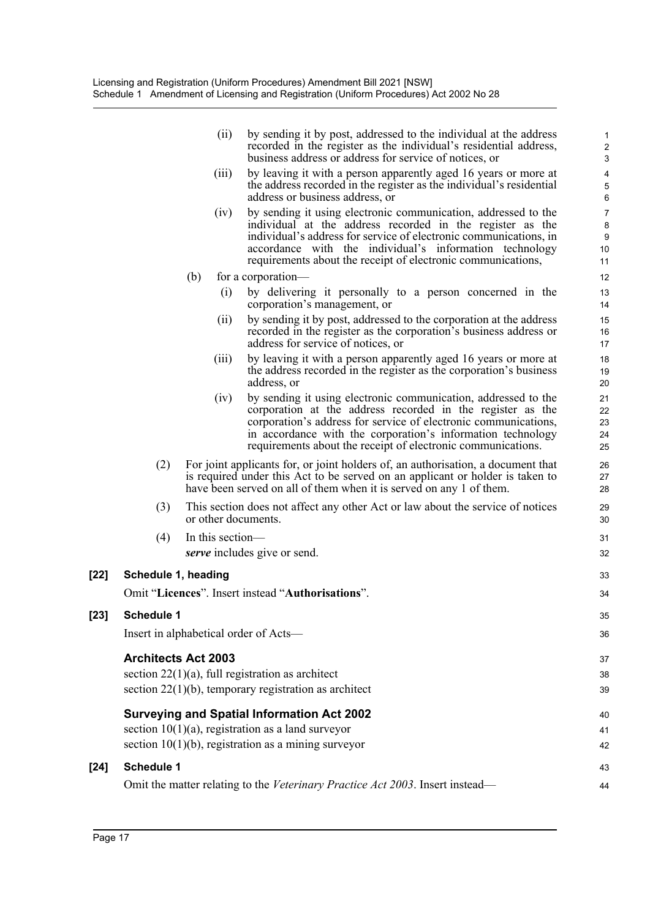| (ii) | by sending it by post, addressed to the individual at the address |
|------|-------------------------------------------------------------------|
|      | recorded in the register as the individual's residential address, |
|      | business address or address for service of notices, or            |

33

- (iii) by leaving it with a person apparently aged 16 years or more at the address recorded in the register as the individual's residential address or business address, or
- (iv) by sending it using electronic communication, addressed to the individual at the address recorded in the register as the individual's address for service of electronic communications, in accordance with the individual's information technology requirements about the receipt of electronic communications,
- (b) for a corporation—
	- (i) by delivering it personally to a person concerned in the corporation's management, or
	- (ii) by sending it by post, addressed to the corporation at the address recorded in the register as the corporation's business address or address for service of notices, or
	- (iii) by leaving it with a person apparently aged 16 years or more at the address recorded in the register as the corporation's business address, or
	- (iv) by sending it using electronic communication, addressed to the corporation at the address recorded in the register as the corporation's address for service of electronic communications, in accordance with the corporation's information technology requirements about the receipt of electronic communications.
- (2) For joint applicants for, or joint holders of, an authorisation, a document that is required under this Act to be served on an applicant or holder is taken to have been served on all of them when it is served on any 1 of them.
- (3) This section does not affect any other Act or law about the service of notices or other documents.

| $(4)$ In this section—       |    |
|------------------------------|----|
| serve includes give or send. | 32 |

## **[22] Schedule 1, heading**

|        | Omit "Licences". Insert instead "Authorisations".                             | 34 |
|--------|-------------------------------------------------------------------------------|----|
| $[23]$ | <b>Schedule 1</b>                                                             | 35 |
|        | Insert in alphabetical order of Acts—                                         | 36 |
|        | <b>Architects Act 2003</b>                                                    | 37 |
|        | section $22(1)(a)$ , full registration as architect                           | 38 |
|        | section $22(1)(b)$ , temporary registration as architect                      | 39 |
|        | <b>Surveying and Spatial Information Act 2002</b>                             | 40 |
|        | section $10(1)(a)$ , registration as a land surveyor                          | 41 |
|        | section $10(1)(b)$ , registration as a mining surveyor                        | 42 |
| [24]   | <b>Schedule 1</b>                                                             | 43 |
|        | Omit the matter relating to the Veterinary Practice Act 2003. Insert instead— | 44 |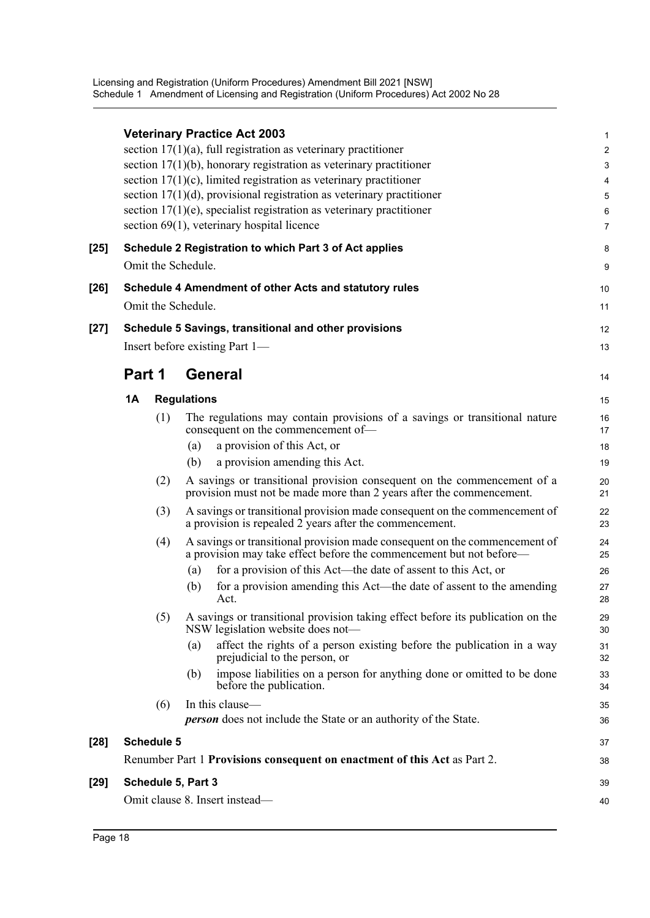|        |                    | <b>Veterinary Practice Act 2003</b><br>section $17(1)(a)$ , full registration as veterinary practitioner<br>section $17(1)(b)$ , honorary registration as veterinary practitioner<br>section $17(1)(c)$ , limited registration as veterinary practitioner<br>section $17(1)(d)$ , provisional registration as veterinary practitioner<br>section $17(1)(e)$ , specialist registration as veterinary practitioner<br>section 69(1), veterinary hospital licence | 1<br>$\overline{a}$<br>3<br>4<br>5<br>6<br>7 |
|--------|--------------------|----------------------------------------------------------------------------------------------------------------------------------------------------------------------------------------------------------------------------------------------------------------------------------------------------------------------------------------------------------------------------------------------------------------------------------------------------------------|----------------------------------------------|
| $[25]$ | Omit the Schedule. | Schedule 2 Registration to which Part 3 of Act applies                                                                                                                                                                                                                                                                                                                                                                                                         | 8<br>9                                       |
| $[26]$ |                    | Schedule 4 Amendment of other Acts and statutory rules                                                                                                                                                                                                                                                                                                                                                                                                         | 10                                           |
|        | Omit the Schedule. |                                                                                                                                                                                                                                                                                                                                                                                                                                                                | 11                                           |
| $[27]$ |                    | Schedule 5 Savings, transitional and other provisions                                                                                                                                                                                                                                                                                                                                                                                                          | 12                                           |
|        |                    | Insert before existing Part 1—                                                                                                                                                                                                                                                                                                                                                                                                                                 | 13                                           |
|        | Part 1             | General                                                                                                                                                                                                                                                                                                                                                                                                                                                        | 14                                           |
|        | 1A                 | <b>Regulations</b>                                                                                                                                                                                                                                                                                                                                                                                                                                             | 15                                           |
|        | (1)                | The regulations may contain provisions of a savings or transitional nature<br>consequent on the commencement of-                                                                                                                                                                                                                                                                                                                                               | 16<br>17                                     |
|        |                    | a provision of this Act, or<br>(a)                                                                                                                                                                                                                                                                                                                                                                                                                             | 18                                           |
|        |                    | a provision amending this Act.<br>(b)                                                                                                                                                                                                                                                                                                                                                                                                                          | 19                                           |
|        | (2)                | A savings or transitional provision consequent on the commencement of a<br>provision must not be made more than 2 years after the commencement.                                                                                                                                                                                                                                                                                                                | 20<br>21                                     |
|        | (3)                | A savings or transitional provision made consequent on the commencement of<br>a provision is repealed 2 years after the commencement.                                                                                                                                                                                                                                                                                                                          | 22<br>23                                     |
|        | (4)                | A savings or transitional provision made consequent on the commencement of<br>a provision may take effect before the commencement but not before—                                                                                                                                                                                                                                                                                                              | 24<br>25                                     |
|        |                    | for a provision of this Act—the date of assent to this Act, or<br>(a)                                                                                                                                                                                                                                                                                                                                                                                          | 26                                           |
|        |                    | for a provision amending this Act—the date of assent to the amending<br>(b)<br>Act.                                                                                                                                                                                                                                                                                                                                                                            | 27<br>28                                     |
|        | (5)                | A savings or transitional provision taking effect before its publication on the<br>NSW legislation website does not-                                                                                                                                                                                                                                                                                                                                           | 29<br>30                                     |
|        |                    | affect the rights of a person existing before the publication in a way<br>(a)<br>prejudicial to the person, or                                                                                                                                                                                                                                                                                                                                                 | 31<br>32                                     |
|        |                    | impose liabilities on a person for anything done or omitted to be done<br>(b)<br>before the publication.                                                                                                                                                                                                                                                                                                                                                       | 33<br>34                                     |
|        | (6)                | In this clause-                                                                                                                                                                                                                                                                                                                                                                                                                                                | 35                                           |
|        |                    | <b>person</b> does not include the State or an authority of the State.                                                                                                                                                                                                                                                                                                                                                                                         | 36                                           |
| $[28]$ | <b>Schedule 5</b>  |                                                                                                                                                                                                                                                                                                                                                                                                                                                                | 37                                           |
|        |                    | Renumber Part 1 Provisions consequent on enactment of this Act as Part 2.                                                                                                                                                                                                                                                                                                                                                                                      | 38                                           |
| $[29]$ | Schedule 5, Part 3 |                                                                                                                                                                                                                                                                                                                                                                                                                                                                | 39                                           |
|        |                    | Omit clause 8. Insert instead-                                                                                                                                                                                                                                                                                                                                                                                                                                 | 40                                           |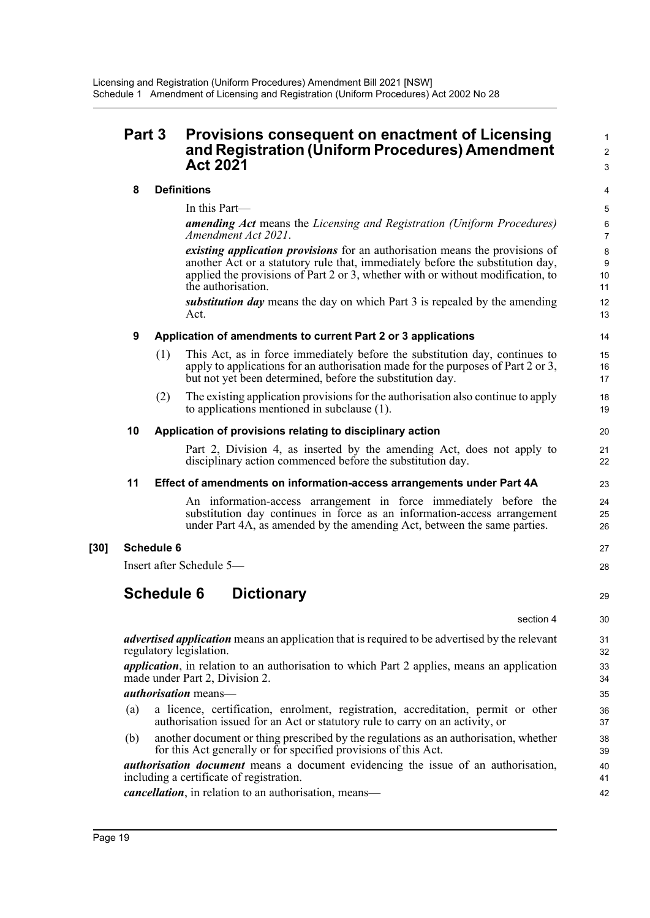## **Part 3 Provisions consequent on enactment of Licensing and Registration (Uniform Procedures) Amendment Act 2021**

#### **8 Definitions**

In this Part—

*amending Act* means the *Licensing and Registration (Uniform Procedures) Amendment Act 2021*.

*existing application provisions* for an authorisation means the provisions of another Act or a statutory rule that, immediately before the substitution day, applied the provisions of Part 2 or 3, whether with or without modification, to the authorisation.

*substitution day* means the day on which Part 3 is repealed by the amending Act.

#### **9 Application of amendments to current Part 2 or 3 applications**

- (1) This Act, as in force immediately before the substitution day, continues to apply to applications for an authorisation made for the purposes of Part 2 or 3, but not yet been determined, before the substitution day.
- (2) The existing application provisions for the authorisation also continue to apply to applications mentioned in subclause (1).

#### **10 Application of provisions relating to disciplinary action**

Part 2, Division 4, as inserted by the amending Act, does not apply to disciplinary action commenced before the substitution day.

#### **11 Effect of amendments on information-access arrangements under Part 4A**

An information-access arrangement in force immediately before the substitution day continues in force as an information-access arrangement under Part 4A, as amended by the amending Act, between the same parties.

#### **[30] Schedule 6**

Insert after Schedule 5—

## **Schedule 6 Dictionary**

section 4  $30$ 

27 28

29

1  $\overline{2}$ 3

*advertised application* means an application that is required to be advertised by the relevant regulatory legislation.

*application*, in relation to an authorisation to which Part 2 applies, means an application made under Part 2, Division 2.

#### *authorisation* means—

- (a) a licence, certification, enrolment, registration, accreditation, permit or other authorisation issued for an Act or statutory rule to carry on an activity, or
- (b) another document or thing prescribed by the regulations as an authorisation, whether for this Act generally or for specified provisions of this Act.

*authorisation document* means a document evidencing the issue of an authorisation, including a certificate of registration.

*cancellation*, in relation to an authorisation, means—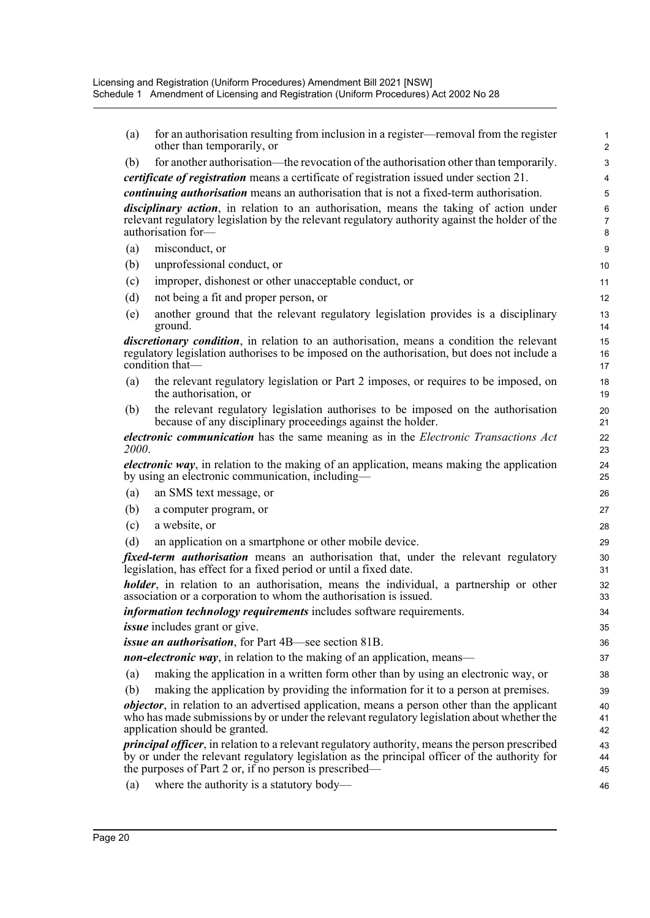- (a) for an authorisation resulting from inclusion in a register—removal from the register other than temporarily, or (b) for another authorisation—the revocation of the authorisation other than temporarily. *certificate of registration* means a certificate of registration issued under section 21. *continuing authorisation* means an authorisation that is not a fixed-term authorisation. *disciplinary action*, in relation to an authorisation, means the taking of action under relevant regulatory legislation by the relevant regulatory authority against the holder of the authorisation for— (a) misconduct, or (b) unprofessional conduct, or (c) improper, dishonest or other unacceptable conduct, or (d) not being a fit and proper person, or (e) another ground that the relevant regulatory legislation provides is a disciplinary ground. *discretionary condition*, in relation to an authorisation, means a condition the relevant regulatory legislation authorises to be imposed on the authorisation, but does not include a condition that— (a) the relevant regulatory legislation or Part 2 imposes, or requires to be imposed, on the authorisation, or (b) the relevant regulatory legislation authorises to be imposed on the authorisation because of any disciplinary proceedings against the holder. *electronic communication* has the same meaning as in the *Electronic Transactions Act 2000*. *electronic way*, in relation to the making of an application, means making the application by using an electronic communication, including— (a) an SMS text message, or (b) a computer program, or (c) a website, or (d) an application on a smartphone or other mobile device. *fixed-term authorisation* means an authorisation that, under the relevant regulatory legislation, has effect for a fixed period or until a fixed date. *holder*, in relation to an authorisation, means the individual, a partnership or other association or a corporation to whom the authorisation is issued. *information technology requirements* includes software requirements. *issue* includes grant or give. *issue an authorisation*, for Part 4B—see section 81B. *non-electronic way*, in relation to the making of an application, means— (a) making the application in a written form other than by using an electronic way, or (b) making the application by providing the information for it to a person at premises. *objector*, in relation to an advertised application, means a person other than the applicant who has made submissions by or under the relevant regulatory legislation about whether the application should be granted. *principal officer*, in relation to a relevant regulatory authority, means the person prescribed by or under the relevant regulatory legislation as the principal officer of the authority for the purposes of Part 2 or, if no person is prescribed— 1 2 3 4 5 6 7 8  $\alpha$ 10 11 12 13 14 15 16 17 18 19  $20$ 21 22 23 24 25 26 27 28 29 30 31 32 33 34 35 36 37 38 39 40 41 42 43 44 45 46
	- (a) where the authority is a statutory body—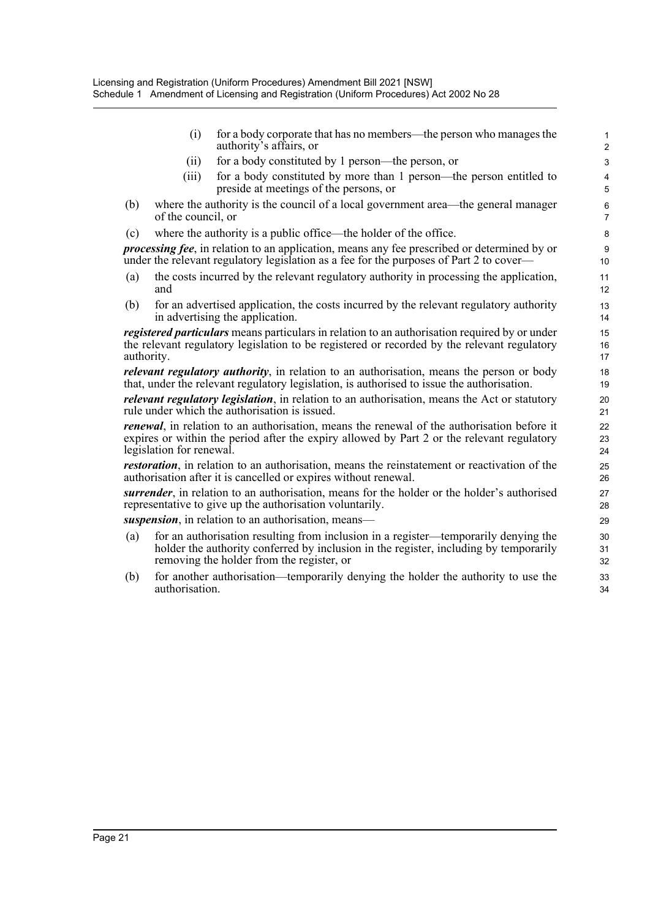(i) for a body corporate that has no members—the person who manages the authority's affairs, or

- (ii) for a body constituted by 1 person—the person, or
- (iii) for a body constituted by more than 1 person—the person entitled to preside at meetings of the persons, or
- (b) where the authority is the council of a local government area—the general manager of the council, or
- (c) where the authority is a public office—the holder of the office.

*processing fee*, in relation to an application, means any fee prescribed or determined by or under the relevant regulatory legislation as a fee for the purposes of Part 2 to cover—

- (a) the costs incurred by the relevant regulatory authority in processing the application, and
- (b) for an advertised application, the costs incurred by the relevant regulatory authority in advertising the application.

*registered particulars* means particulars in relation to an authorisation required by or under the relevant regulatory legislation to be registered or recorded by the relevant regulatory authority.

*relevant regulatory authority*, in relation to an authorisation, means the person or body that, under the relevant regulatory legislation, is authorised to issue the authorisation.

*relevant regulatory legislation*, in relation to an authorisation, means the Act or statutory rule under which the authorisation is issued.

*renewal*, in relation to an authorisation, means the renewal of the authorisation before it expires or within the period after the expiry allowed by Part 2 or the relevant regulatory legislation for renewal.

*restoration*, in relation to an authorisation, means the reinstatement or reactivation of the authorisation after it is cancelled or expires without renewal.

*surrender*, in relation to an authorisation, means for the holder or the holder's authorised representative to give up the authorisation voluntarily.

*suspension*, in relation to an authorisation, means—

- (a) for an authorisation resulting from inclusion in a register—temporarily denying the holder the authority conferred by inclusion in the register, including by temporarily removing the holder from the register, or
- (b) for another authorisation—temporarily denying the holder the authority to use the authorisation.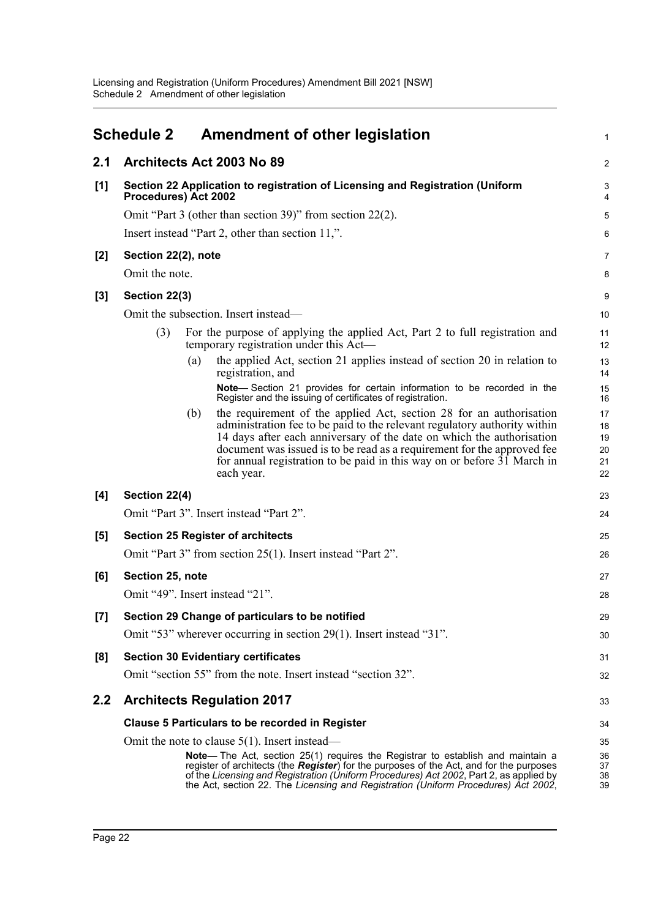<span id="page-24-0"></span>

|       | <b>Schedule 2</b>    |     | <b>Amendment of other legislation</b>                                                                                                                                                                                                                                                                                                                                                         | 1                                |
|-------|----------------------|-----|-----------------------------------------------------------------------------------------------------------------------------------------------------------------------------------------------------------------------------------------------------------------------------------------------------------------------------------------------------------------------------------------------|----------------------------------|
| 2.1   |                      |     | Architects Act 2003 No 89                                                                                                                                                                                                                                                                                                                                                                     | $\overline{a}$                   |
| [1]   | Procedures) Act 2002 |     | Section 22 Application to registration of Licensing and Registration (Uniform                                                                                                                                                                                                                                                                                                                 | 3<br>4                           |
|       |                      |     | Omit "Part 3 (other than section 39)" from section $22(2)$ .                                                                                                                                                                                                                                                                                                                                  | 5                                |
|       |                      |     | Insert instead "Part 2, other than section 11,".                                                                                                                                                                                                                                                                                                                                              | 6                                |
| $[2]$ | Section 22(2), note  |     |                                                                                                                                                                                                                                                                                                                                                                                               | 7                                |
|       | Omit the note.       |     |                                                                                                                                                                                                                                                                                                                                                                                               | 8                                |
| $[3]$ | Section 22(3)        |     |                                                                                                                                                                                                                                                                                                                                                                                               | 9                                |
|       |                      |     | Omit the subsection. Insert instead—                                                                                                                                                                                                                                                                                                                                                          | 10                               |
|       | (3)                  |     | For the purpose of applying the applied Act, Part 2 to full registration and<br>temporary registration under this Act-                                                                                                                                                                                                                                                                        | 11<br>12                         |
|       |                      | (a) | the applied Act, section 21 applies instead of section 20 in relation to<br>registration, and                                                                                                                                                                                                                                                                                                 | 13<br>14                         |
|       |                      |     | Note-Section 21 provides for certain information to be recorded in the<br>Register and the issuing of certificates of registration.                                                                                                                                                                                                                                                           | 15<br>16                         |
|       |                      | (b) | the requirement of the applied Act, section 28 for an authorisation<br>administration fee to be paid to the relevant regulatory authority within<br>14 days after each anniversary of the date on which the authorisation<br>document was issued is to be read as a requirement for the approved fee<br>for annual registration to be paid in this way on or before 31 March in<br>each year. | 17<br>18<br>19<br>20<br>21<br>22 |
| [4]   | Section 22(4)        |     |                                                                                                                                                                                                                                                                                                                                                                                               | 23                               |
|       |                      |     | Omit "Part 3". Insert instead "Part 2".                                                                                                                                                                                                                                                                                                                                                       | 24                               |
| [5]   |                      |     | <b>Section 25 Register of architects</b>                                                                                                                                                                                                                                                                                                                                                      | 25                               |
|       |                      |     | Omit "Part 3" from section 25(1). Insert instead "Part 2".                                                                                                                                                                                                                                                                                                                                    | 26                               |
| [6]   | Section 25, note     |     |                                                                                                                                                                                                                                                                                                                                                                                               | 27                               |
|       |                      |     | Omit "49". Insert instead "21".                                                                                                                                                                                                                                                                                                                                                               | 28                               |
| [7]   |                      |     | Section 29 Change of particulars to be notified                                                                                                                                                                                                                                                                                                                                               | 29                               |
|       |                      |     | Omit "53" wherever occurring in section 29(1). Insert instead "31".                                                                                                                                                                                                                                                                                                                           | 30                               |
| [8]   |                      |     | <b>Section 30 Evidentiary certificates</b>                                                                                                                                                                                                                                                                                                                                                    | 31                               |
|       |                      |     | Omit "section 55" from the note. Insert instead "section 32".                                                                                                                                                                                                                                                                                                                                 | 32                               |
| 2.2   |                      |     | <b>Architects Regulation 2017</b>                                                                                                                                                                                                                                                                                                                                                             | 33                               |
|       |                      |     | <b>Clause 5 Particulars to be recorded in Register</b>                                                                                                                                                                                                                                                                                                                                        | 34                               |
|       |                      |     | Omit the note to clause $5(1)$ . Insert instead—                                                                                                                                                                                                                                                                                                                                              | 35                               |
|       |                      |     | <b>Note—</b> The Act, section 25(1) requires the Registrar to establish and maintain a<br>register of architects (the Register) for the purposes of the Act, and for the purposes<br>of the Licensing and Registration (Uniform Procedures) Act 2002, Part 2, as applied by<br>the Act, section 22. The Licensing and Registration (Uniform Procedures) Act 2002,                             | 36<br>37<br>38<br>39             |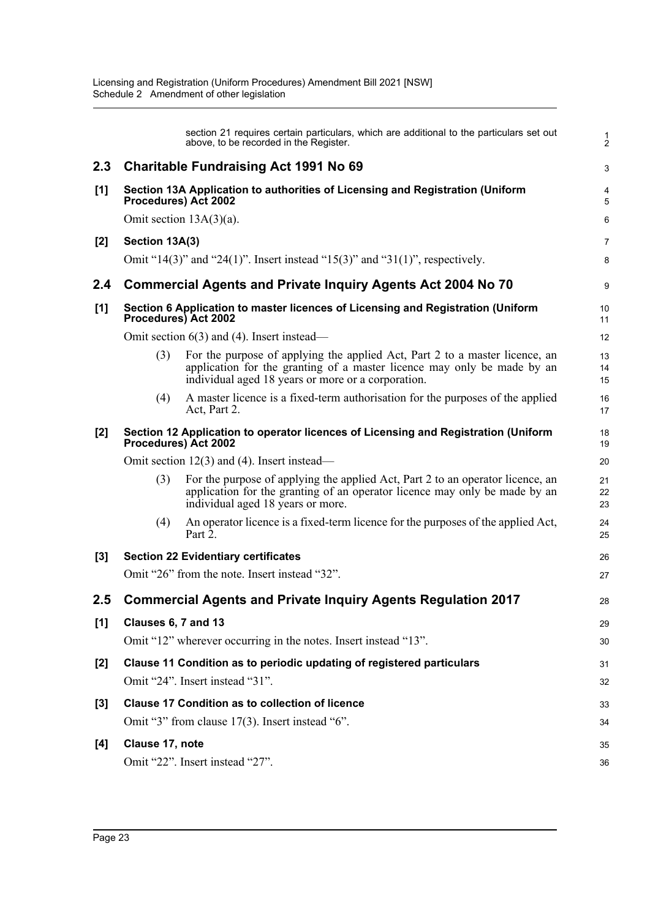|         |                     | section 21 requires certain particulars, which are additional to the particulars set out<br>above, to be recorded in the Register.                                                                           | $\frac{1}{2}$  |
|---------|---------------------|--------------------------------------------------------------------------------------------------------------------------------------------------------------------------------------------------------------|----------------|
| 2.3     |                     | <b>Charitable Fundraising Act 1991 No 69</b>                                                                                                                                                                 | 3              |
| $[1]$   |                     | Section 13A Application to authorities of Licensing and Registration (Uniform<br>Procedures) Act 2002                                                                                                        | 4<br>5         |
|         |                     | Omit section $13A(3)(a)$ .                                                                                                                                                                                   | 6              |
| $[2]$   | Section 13A(3)      |                                                                                                                                                                                                              | $\overline{7}$ |
|         |                     | Omit "14(3)" and "24(1)". Insert instead "15(3)" and "31(1)", respectively.                                                                                                                                  | 8              |
| 2.4     |                     | <b>Commercial Agents and Private Inquiry Agents Act 2004 No 70</b>                                                                                                                                           | 9              |
| $[1]$   |                     | Section 6 Application to master licences of Licensing and Registration (Uniform<br>Procedures) Act 2002                                                                                                      | 10<br>11       |
|         |                     | Omit section $6(3)$ and (4). Insert instead—                                                                                                                                                                 | 12             |
|         | (3)                 | For the purpose of applying the applied Act, Part 2 to a master licence, an<br>application for the granting of a master licence may only be made by an<br>individual aged 18 years or more or a corporation. | 13<br>14<br>15 |
|         | (4)                 | A master licence is a fixed-term authorisation for the purposes of the applied<br>Act, Part 2.                                                                                                               | 16<br>17       |
| $[2]$   |                     | Section 12 Application to operator licences of Licensing and Registration (Uniform<br>Procedures) Act 2002                                                                                                   | 18<br>19       |
|         |                     | Omit section $12(3)$ and (4). Insert instead—                                                                                                                                                                | 20             |
|         | (3)                 | For the purpose of applying the applied Act, Part 2 to an operator licence, an<br>application for the granting of an operator licence may only be made by an<br>individual aged 18 years or more.            | 21<br>22<br>23 |
|         | (4)                 | An operator licence is a fixed-term licence for the purposes of the applied Act,<br>Part 2.                                                                                                                  | 24<br>25       |
| $[3]$   |                     | <b>Section 22 Evidentiary certificates</b>                                                                                                                                                                   | 26             |
|         |                     | Omit "26" from the note. Insert instead "32".                                                                                                                                                                | 27             |
| $2.5\,$ |                     | <b>Commercial Agents and Private Inquiry Agents Regulation 2017</b>                                                                                                                                          | 28             |
| [1]     | Clauses 6, 7 and 13 |                                                                                                                                                                                                              | 29             |
|         |                     | Omit "12" wherever occurring in the notes. Insert instead "13".                                                                                                                                              | 30             |
| $[2]$   |                     | Clause 11 Condition as to periodic updating of registered particulars                                                                                                                                        | 31             |
|         |                     | Omit "24". Insert instead "31".                                                                                                                                                                              | 32             |
| [3]     |                     | <b>Clause 17 Condition as to collection of licence</b>                                                                                                                                                       | 33             |
|         |                     | Omit "3" from clause 17(3). Insert instead "6".                                                                                                                                                              | 34             |
| [4]     | Clause 17, note     |                                                                                                                                                                                                              | 35             |
|         |                     | Omit "22". Insert instead "27".                                                                                                                                                                              | 36             |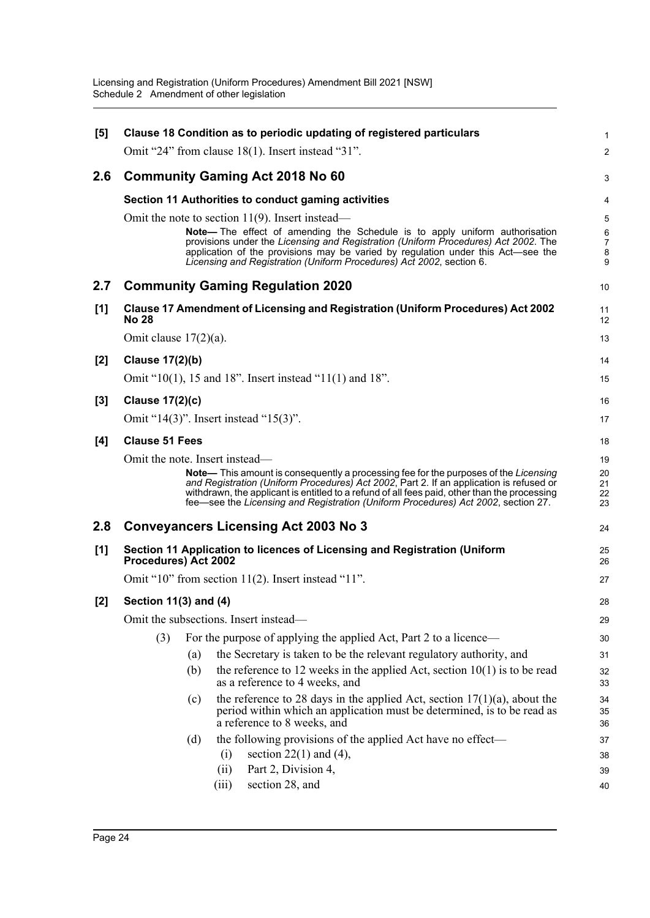| [5]   |                          | Clause 18 Condition as to periodic updating of registered particulars                                                                                                                                                                                                                                                                                                       | $\mathbf{1}$             |
|-------|--------------------------|-----------------------------------------------------------------------------------------------------------------------------------------------------------------------------------------------------------------------------------------------------------------------------------------------------------------------------------------------------------------------------|--------------------------|
|       |                          | Omit "24" from clause $18(1)$ . Insert instead "31".                                                                                                                                                                                                                                                                                                                        | 2                        |
| 2.6   |                          | <b>Community Gaming Act 2018 No 60</b>                                                                                                                                                                                                                                                                                                                                      | 3                        |
|       |                          | Section 11 Authorities to conduct gaming activities                                                                                                                                                                                                                                                                                                                         | 4                        |
|       |                          | Omit the note to section $11(9)$ . Insert instead—                                                                                                                                                                                                                                                                                                                          | 5                        |
|       |                          | <b>Note—</b> The effect of amending the Schedule is to apply uniform authorisation                                                                                                                                                                                                                                                                                          | $\,6$                    |
|       |                          | provisions under the Licensing and Registration (Uniform Procedures) Act 2002. The<br>application of the provisions may be varied by regulation under this Act—see the<br>Licensing and Registration (Uniform Procedures) Act 2002, section 6.                                                                                                                              | $\overline{7}$<br>8<br>9 |
| 2.7   |                          | <b>Community Gaming Regulation 2020</b>                                                                                                                                                                                                                                                                                                                                     | 10                       |
| [1]   | <b>No 28</b>             | <b>Clause 17 Amendment of Licensing and Registration (Uniform Procedures) Act 2002</b>                                                                                                                                                                                                                                                                                      | 11<br>12                 |
|       | Omit clause $17(2)(a)$ . |                                                                                                                                                                                                                                                                                                                                                                             | 13                       |
| [2]   | <b>Clause 17(2)(b)</b>   |                                                                                                                                                                                                                                                                                                                                                                             | 14                       |
|       |                          | Omit "10(1), 15 and 18". Insert instead "11(1) and 18".                                                                                                                                                                                                                                                                                                                     | 15                       |
| $[3]$ | <b>Clause 17(2)(c)</b>   |                                                                                                                                                                                                                                                                                                                                                                             | 16                       |
|       |                          | Omit "14(3)". Insert instead "15(3)".                                                                                                                                                                                                                                                                                                                                       | 17                       |
| [4]   | <b>Clause 51 Fees</b>    |                                                                                                                                                                                                                                                                                                                                                                             | 18                       |
|       |                          | Omit the note. Insert instead-                                                                                                                                                                                                                                                                                                                                              | 19                       |
|       |                          | <b>Note—</b> This amount is consequently a processing fee for the purposes of the Licensing<br>and Registration (Uniform Procedures) Act 2002, Part 2. If an application is refused or<br>withdrawn, the applicant is entitled to a refund of all fees paid, other than the processing<br>fee-see the Licensing and Registration (Uniform Procedures) Act 2002, section 27. | 20<br>21<br>22<br>23     |
| 2.8   |                          | <b>Conveyancers Licensing Act 2003 No 3</b>                                                                                                                                                                                                                                                                                                                                 | 24                       |
| [1]   | Procedures) Act 2002     | Section 11 Application to licences of Licensing and Registration (Uniform                                                                                                                                                                                                                                                                                                   | 25<br>26                 |
|       |                          | Omit "10" from section $11(2)$ . Insert instead "11".                                                                                                                                                                                                                                                                                                                       | 27                       |
| [2]   | Section 11(3) and (4)    |                                                                                                                                                                                                                                                                                                                                                                             | 28                       |
|       |                          | Omit the subsections. Insert instead-                                                                                                                                                                                                                                                                                                                                       | 29                       |
|       | (3)                      | For the purpose of applying the applied Act, Part 2 to a licence—                                                                                                                                                                                                                                                                                                           | 30                       |
|       |                          | the Secretary is taken to be the relevant regulatory authority, and<br>(a)                                                                                                                                                                                                                                                                                                  | 31                       |
|       |                          | the reference to 12 weeks in the applied Act, section $10(1)$ is to be read<br>(b)<br>as a reference to 4 weeks, and                                                                                                                                                                                                                                                        | 32<br>33                 |
|       |                          | the reference to 28 days in the applied Act, section $17(1)(a)$ , about the<br>(c)<br>period within which an application must be determined, is to be read as<br>a reference to 8 weeks, and                                                                                                                                                                                | 34<br>35<br>36           |
|       |                          | the following provisions of the applied Act have no effect-<br>(d)                                                                                                                                                                                                                                                                                                          | 37                       |
|       |                          | section $22(1)$ and $(4)$ ,<br>(i)                                                                                                                                                                                                                                                                                                                                          | 38                       |
|       |                          | Part 2, Division 4,<br>(ii)                                                                                                                                                                                                                                                                                                                                                 | 39                       |
|       |                          | section 28, and<br>(iii)                                                                                                                                                                                                                                                                                                                                                    | 40                       |
|       |                          |                                                                                                                                                                                                                                                                                                                                                                             |                          |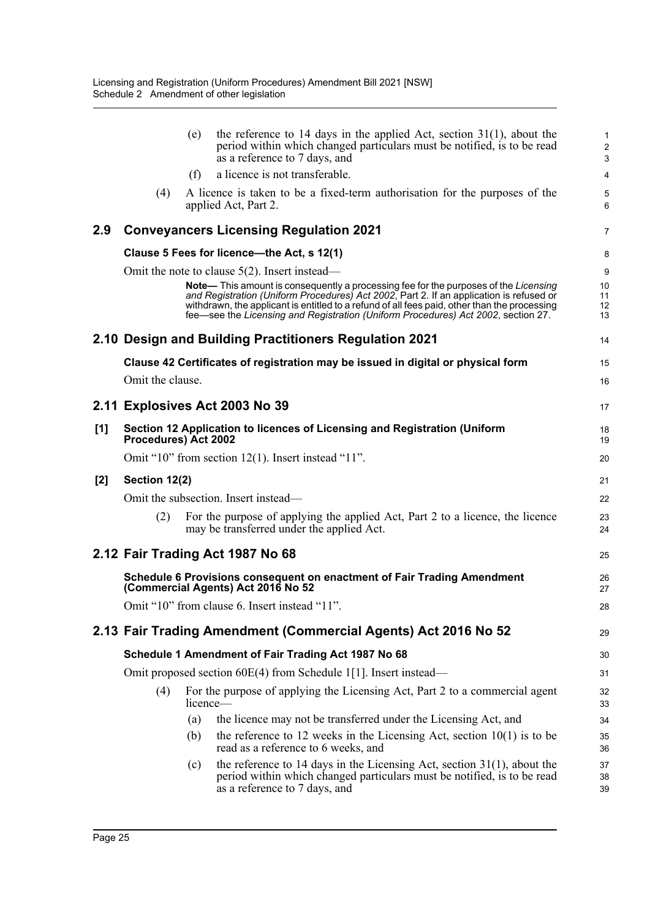|       |                      | (e)      | the reference to 14 days in the applied Act, section $31(1)$ , about the<br>period within which changed particulars must be notified, is to be read<br>as a reference to 7 days, and                                                                                                                                                                                 | $\mathbf{1}$<br>$\boldsymbol{2}$<br>3 |
|-------|----------------------|----------|----------------------------------------------------------------------------------------------------------------------------------------------------------------------------------------------------------------------------------------------------------------------------------------------------------------------------------------------------------------------|---------------------------------------|
|       |                      | (f)      | a licence is not transferable.                                                                                                                                                                                                                                                                                                                                       | 4                                     |
|       | (4)                  |          | A licence is taken to be a fixed-term authorisation for the purposes of the<br>applied Act, Part 2.                                                                                                                                                                                                                                                                  | 5<br>$6\phantom{1}$                   |
| 2.9   |                      |          | <b>Conveyancers Licensing Regulation 2021</b>                                                                                                                                                                                                                                                                                                                        | $\overline{7}$                        |
|       |                      |          | Clause 5 Fees for licence-the Act, s 12(1)                                                                                                                                                                                                                                                                                                                           | 8                                     |
|       |                      |          | Omit the note to clause $5(2)$ . Insert instead—                                                                                                                                                                                                                                                                                                                     | $\boldsymbol{9}$                      |
|       |                      |          | Note— This amount is consequently a processing fee for the purposes of the Licensing<br>and Registration (Uniform Procedures) Act 2002, Part 2. If an application is refused or<br>withdrawn, the applicant is entitled to a refund of all fees paid, other than the processing<br>fee-see the Licensing and Registration (Uniform Procedures) Act 2002, section 27. | 10<br>11<br>12<br>13                  |
|       |                      |          | 2.10 Design and Building Practitioners Regulation 2021                                                                                                                                                                                                                                                                                                               | 14                                    |
|       |                      |          | Clause 42 Certificates of registration may be issued in digital or physical form                                                                                                                                                                                                                                                                                     | 15                                    |
|       | Omit the clause.     |          |                                                                                                                                                                                                                                                                                                                                                                      | 16                                    |
|       |                      |          | 2.11 Explosives Act 2003 No 39                                                                                                                                                                                                                                                                                                                                       | 17                                    |
| [1]   | Procedures) Act 2002 |          | Section 12 Application to licences of Licensing and Registration (Uniform                                                                                                                                                                                                                                                                                            | 18<br>19                              |
|       |                      |          | Omit "10" from section $12(1)$ . Insert instead "11".                                                                                                                                                                                                                                                                                                                | 20                                    |
| $[2]$ | Section 12(2)        |          |                                                                                                                                                                                                                                                                                                                                                                      | 21                                    |
|       |                      |          | Omit the subsection. Insert instead—                                                                                                                                                                                                                                                                                                                                 | 22                                    |
|       | (2)                  |          | For the purpose of applying the applied Act, Part 2 to a licence, the licence<br>may be transferred under the applied Act.                                                                                                                                                                                                                                           | 23<br>24                              |
|       |                      |          | 2.12 Fair Trading Act 1987 No 68                                                                                                                                                                                                                                                                                                                                     | 25                                    |
|       |                      |          | Schedule 6 Provisions consequent on enactment of Fair Trading Amendment<br>(Commercial Agents) Act 2016 No 52                                                                                                                                                                                                                                                        | 26<br>27                              |
|       |                      |          | Omit "10" from clause 6. Insert instead "11".                                                                                                                                                                                                                                                                                                                        | 28                                    |
|       |                      |          | 2.13 Fair Trading Amendment (Commercial Agents) Act 2016 No 52                                                                                                                                                                                                                                                                                                       | 29                                    |
|       |                      |          | Schedule 1 Amendment of Fair Trading Act 1987 No 68                                                                                                                                                                                                                                                                                                                  | 30                                    |
|       |                      |          | Omit proposed section 60E(4) from Schedule 1[1]. Insert instead—                                                                                                                                                                                                                                                                                                     | 31                                    |
|       | (4)                  | licence— | For the purpose of applying the Licensing Act, Part 2 to a commercial agent                                                                                                                                                                                                                                                                                          | 32<br>33                              |
|       |                      | (a)      | the licence may not be transferred under the Licensing Act, and                                                                                                                                                                                                                                                                                                      | 34                                    |
|       |                      | (b)      | the reference to 12 weeks in the Licensing Act, section $10(1)$ is to be<br>read as a reference to 6 weeks, and                                                                                                                                                                                                                                                      | 35<br>36                              |
|       |                      | (c)      | the reference to 14 days in the Licensing Act, section $31(1)$ , about the<br>period within which changed particulars must be notified, is to be read<br>as a reference to 7 days, and                                                                                                                                                                               | 37<br>38<br>39                        |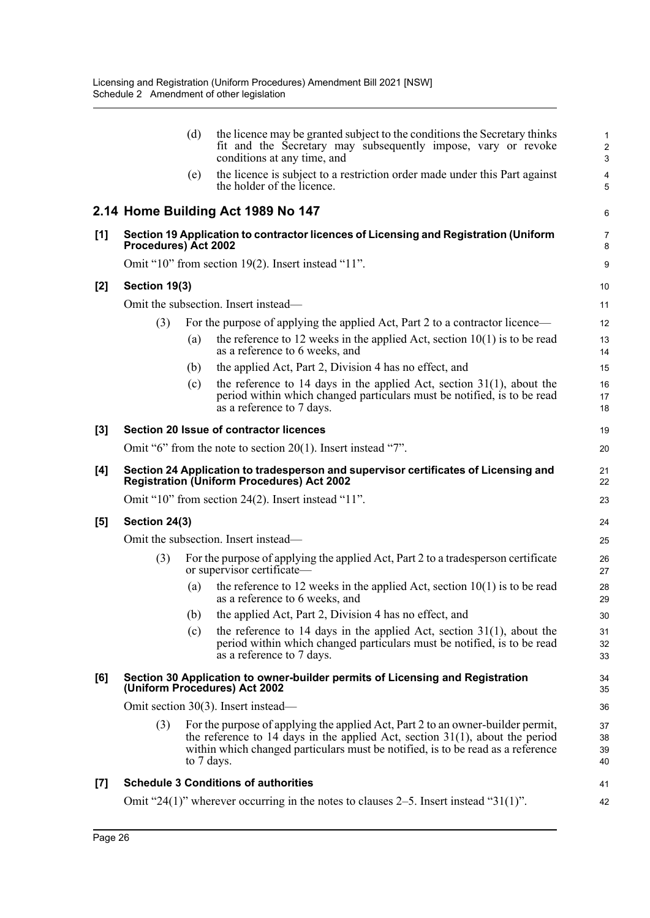|     |                      | (d)        | the licence may be granted subject to the conditions the Secretary thinks<br>fit and the Secretary may subsequently impose, vary or revoke<br>conditions at any time, and                                                                             | $\mathbf{1}$<br>$\overline{c}$<br>3 |
|-----|----------------------|------------|-------------------------------------------------------------------------------------------------------------------------------------------------------------------------------------------------------------------------------------------------------|-------------------------------------|
|     |                      | (e)        | the licence is subject to a restriction order made under this Part against<br>the holder of the licence.                                                                                                                                              | 4<br>5                              |
|     |                      |            | 2.14 Home Building Act 1989 No 147                                                                                                                                                                                                                    | 6                                   |
| [1] | Procedures) Act 2002 |            | Section 19 Application to contractor licences of Licensing and Registration (Uniform                                                                                                                                                                  | $\overline{7}$<br>8                 |
|     |                      |            | Omit "10" from section 19(2). Insert instead "11".                                                                                                                                                                                                    | 9                                   |
| [2] | Section 19(3)        |            |                                                                                                                                                                                                                                                       | 10                                  |
|     |                      |            | Omit the subsection. Insert instead—                                                                                                                                                                                                                  | 11                                  |
|     | (3)                  |            | For the purpose of applying the applied Act, Part 2 to a contractor licence—                                                                                                                                                                          | 12                                  |
|     |                      | (a)        | the reference to 12 weeks in the applied Act, section $10(1)$ is to be read<br>as a reference to 6 weeks, and                                                                                                                                         | 13<br>14                            |
|     |                      | (b)        | the applied Act, Part 2, Division 4 has no effect, and                                                                                                                                                                                                | 15                                  |
|     |                      | (c)        | the reference to 14 days in the applied Act, section $31(1)$ , about the<br>period within which changed particulars must be notified, is to be read<br>as a reference to 7 days.                                                                      | 16<br>17<br>18                      |
| [3] |                      |            | Section 20 Issue of contractor licences                                                                                                                                                                                                               | 19                                  |
|     |                      |            | Omit "6" from the note to section $20(1)$ . Insert instead "7".                                                                                                                                                                                       | 20                                  |
| [4] |                      |            | Section 24 Application to tradesperson and supervisor certificates of Licensing and<br><b>Registration (Uniform Procedures) Act 2002</b>                                                                                                              | 21<br>22                            |
|     |                      |            | Omit "10" from section 24(2). Insert instead "11".                                                                                                                                                                                                    | 23                                  |
| [5] | Section 24(3)        |            |                                                                                                                                                                                                                                                       | 24                                  |
|     |                      |            | Omit the subsection. Insert instead—                                                                                                                                                                                                                  | 25                                  |
|     | (3)                  |            | For the purpose of applying the applied Act, Part 2 to a tradesperson certificate<br>or supervisor certificate-                                                                                                                                       | 26<br>27                            |
|     |                      | (a)        | the reference to 12 weeks in the applied Act, section $10(1)$ is to be read<br>as a reference to 6 weeks, and                                                                                                                                         | 28<br>29                            |
|     |                      | (b)        | the applied Act, Part 2, Division 4 has no effect, and                                                                                                                                                                                                | 30                                  |
|     |                      | (c)        | the reference to 14 days in the applied Act, section $31(1)$ , about the<br>period within which changed particulars must be notified, is to be read<br>as a reference to 7 days.                                                                      | 31<br>32<br>33                      |
| [6] |                      |            | Section 30 Application to owner-builder permits of Licensing and Registration<br>(Uniform Procedures) Act 2002                                                                                                                                        | 34<br>35                            |
|     |                      |            | Omit section $30(3)$ . Insert instead—                                                                                                                                                                                                                | 36                                  |
|     | (3)                  | to 7 days. | For the purpose of applying the applied Act, Part 2 to an owner-builder permit,<br>the reference to 14 days in the applied Act, section $31(1)$ , about the period<br>within which changed particulars must be notified, is to be read as a reference | 37<br>38<br>39<br>40                |
| [7] |                      |            | <b>Schedule 3 Conditions of authorities</b>                                                                                                                                                                                                           | 41                                  |
|     |                      |            | Omit "24(1)" wherever occurring in the notes to clauses 2–5. Insert instead " $31(1)$ ".                                                                                                                                                              | 42                                  |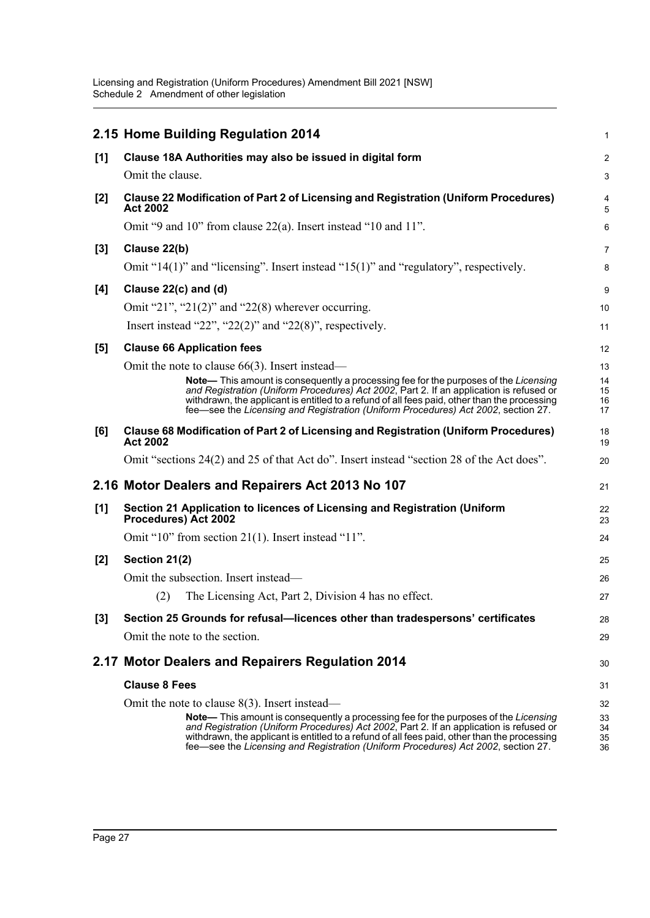|       | 2.15 Home Building Regulation 2014                                                                                                                                                                                                                                                                                                                                                                                        | 1                          |
|-------|---------------------------------------------------------------------------------------------------------------------------------------------------------------------------------------------------------------------------------------------------------------------------------------------------------------------------------------------------------------------------------------------------------------------------|----------------------------|
| [1]   | Clause 18A Authorities may also be issued in digital form                                                                                                                                                                                                                                                                                                                                                                 | $\overline{2}$             |
|       | Omit the clause.                                                                                                                                                                                                                                                                                                                                                                                                          | 3                          |
| [2]   | Clause 22 Modification of Part 2 of Licensing and Registration (Uniform Procedures)<br><b>Act 2002</b>                                                                                                                                                                                                                                                                                                                    | 4<br>5                     |
|       | Omit "9 and 10" from clause 22(a). Insert instead "10 and 11".                                                                                                                                                                                                                                                                                                                                                            | 6                          |
| $[3]$ | Clause 22(b)                                                                                                                                                                                                                                                                                                                                                                                                              | 7                          |
|       | Omit " $14(1)$ " and "licensing". Insert instead " $15(1)$ " and "regulatory", respectively.                                                                                                                                                                                                                                                                                                                              | 8                          |
| [4]   | Clause 22(c) and (d)                                                                                                                                                                                                                                                                                                                                                                                                      | 9                          |
|       | Omit "21", "21(2)" and "22(8) wherever occurring.                                                                                                                                                                                                                                                                                                                                                                         | 10                         |
|       | Insert instead "22", "22(2)" and "22(8)", respectively.                                                                                                                                                                                                                                                                                                                                                                   | 11                         |
| [5]   | <b>Clause 66 Application fees</b>                                                                                                                                                                                                                                                                                                                                                                                         | 12                         |
|       | Omit the note to clause $66(3)$ . Insert instead—<br>Note— This amount is consequently a processing fee for the purposes of the Licensing<br>and Registration (Uniform Procedures) Act 2002, Part 2. If an application is refused or<br>withdrawn, the applicant is entitled to a refund of all fees paid, other than the processing<br>fee—see the Licensing and Registration (Uniform Procedures) Act 2002, section 27. | 13<br>14<br>15<br>16<br>17 |
| [6]   | Clause 68 Modification of Part 2 of Licensing and Registration (Uniform Procedures)<br><b>Act 2002</b>                                                                                                                                                                                                                                                                                                                    | 18<br>19                   |
|       | Omit "sections 24(2) and 25 of that Act do". Insert instead "section 28 of the Act does".                                                                                                                                                                                                                                                                                                                                 | 20                         |
|       | 2.16 Motor Dealers and Repairers Act 2013 No 107                                                                                                                                                                                                                                                                                                                                                                          | 21                         |
| [1]   | Section 21 Application to licences of Licensing and Registration (Uniform<br>Procedures) Act 2002                                                                                                                                                                                                                                                                                                                         | 22<br>23                   |
|       | Omit "10" from section 21(1). Insert instead "11".                                                                                                                                                                                                                                                                                                                                                                        | 24                         |
| $[2]$ | Section 21(2)                                                                                                                                                                                                                                                                                                                                                                                                             | 25                         |
|       | Omit the subsection. Insert instead—                                                                                                                                                                                                                                                                                                                                                                                      | 26                         |
|       | (2)<br>The Licensing Act, Part 2, Division 4 has no effect.                                                                                                                                                                                                                                                                                                                                                               | 27                         |
| $[3]$ | Section 25 Grounds for refusal-licences other than tradespersons' certificates                                                                                                                                                                                                                                                                                                                                            | 28                         |
|       | Omit the note to the section.                                                                                                                                                                                                                                                                                                                                                                                             | 29                         |
|       | 2.17 Motor Dealers and Repairers Regulation 2014                                                                                                                                                                                                                                                                                                                                                                          | 30                         |
|       | <b>Clause 8 Fees</b>                                                                                                                                                                                                                                                                                                                                                                                                      | 31                         |
|       | Omit the note to clause $8(3)$ . Insert instead—                                                                                                                                                                                                                                                                                                                                                                          | 32                         |
|       | <b>Note—</b> This amount is consequently a processing fee for the purposes of the Licensing<br>and Registration (Uniform Procedures) Act 2002, Part 2. If an application is refused or<br>withdrawn, the applicant is entitled to a refund of all fees paid, other than the processing<br>fee-see the Licensing and Registration (Uniform Procedures) Act 2002, section 27.                                               | 33<br>34<br>35<br>36       |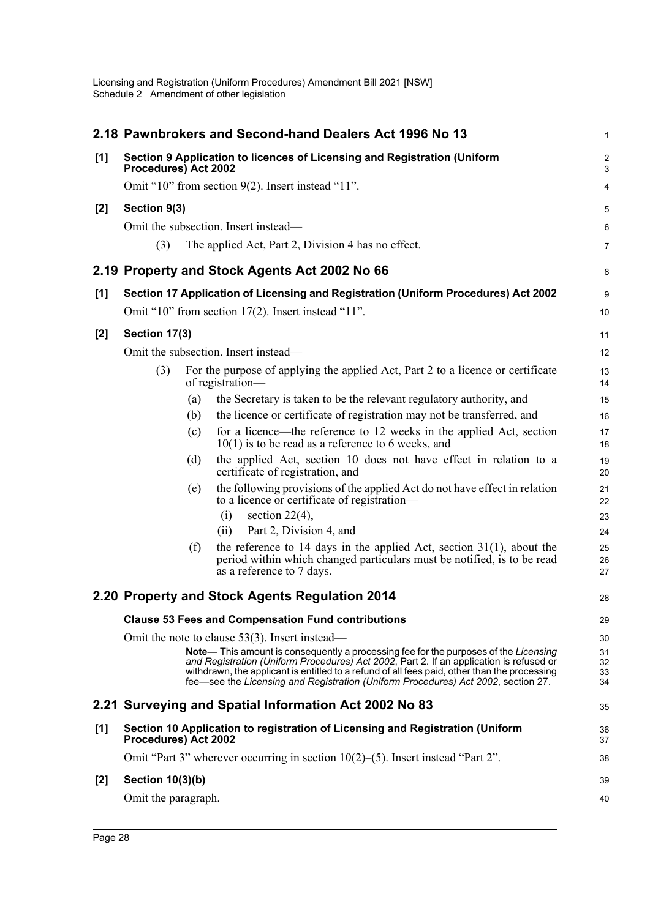|       |                                                                                                  |                                                    | 2.18 Pawnbrokers and Second-hand Dealers Act 1996 No 13                                                                                                                                                                                                                                                                                                              | $\mathbf 1$          |  |  |
|-------|--------------------------------------------------------------------------------------------------|----------------------------------------------------|----------------------------------------------------------------------------------------------------------------------------------------------------------------------------------------------------------------------------------------------------------------------------------------------------------------------------------------------------------------------|----------------------|--|--|
| [1]   | Section 9 Application to licences of Licensing and Registration (Uniform<br>Procedures) Act 2002 |                                                    |                                                                                                                                                                                                                                                                                                                                                                      |                      |  |  |
|       | Omit "10" from section 9(2). Insert instead "11".                                                |                                                    |                                                                                                                                                                                                                                                                                                                                                                      |                      |  |  |
| $[2]$ | Section 9(3)                                                                                     |                                                    |                                                                                                                                                                                                                                                                                                                                                                      | 5                    |  |  |
|       | Omit the subsection. Insert instead—                                                             |                                                    |                                                                                                                                                                                                                                                                                                                                                                      |                      |  |  |
|       | (3)                                                                                              |                                                    | The applied Act, Part 2, Division 4 has no effect.                                                                                                                                                                                                                                                                                                                   | $\overline{7}$       |  |  |
|       |                                                                                                  |                                                    | 2.19 Property and Stock Agents Act 2002 No 66                                                                                                                                                                                                                                                                                                                        | 8                    |  |  |
| [1]   |                                                                                                  |                                                    | Section 17 Application of Licensing and Registration (Uniform Procedures) Act 2002                                                                                                                                                                                                                                                                                   | 9                    |  |  |
|       |                                                                                                  | Omit "10" from section 17(2). Insert instead "11". |                                                                                                                                                                                                                                                                                                                                                                      |                      |  |  |
| $[2]$ | Section 17(3)                                                                                    |                                                    |                                                                                                                                                                                                                                                                                                                                                                      | 11                   |  |  |
|       |                                                                                                  |                                                    | Omit the subsection. Insert instead—                                                                                                                                                                                                                                                                                                                                 | 12                   |  |  |
|       | (3)                                                                                              |                                                    | For the purpose of applying the applied Act, Part 2 to a licence or certificate<br>of registration-                                                                                                                                                                                                                                                                  | 13<br>14             |  |  |
|       |                                                                                                  | (a)                                                | the Secretary is taken to be the relevant regulatory authority, and                                                                                                                                                                                                                                                                                                  | 15                   |  |  |
|       |                                                                                                  | (b)                                                | the licence or certificate of registration may not be transferred, and                                                                                                                                                                                                                                                                                               | 16                   |  |  |
|       |                                                                                                  | (c)                                                | for a licence—the reference to 12 weeks in the applied Act, section<br>$10(1)$ is to be read as a reference to 6 weeks, and                                                                                                                                                                                                                                          | 17<br>18             |  |  |
|       |                                                                                                  | (d)                                                | the applied Act, section 10 does not have effect in relation to a<br>certificate of registration, and                                                                                                                                                                                                                                                                | 19<br>20             |  |  |
|       |                                                                                                  | (e)                                                | the following provisions of the applied Act do not have effect in relation<br>to a licence or certificate of registration—<br>(i)<br>section $22(4)$ ,                                                                                                                                                                                                               | 21<br>22<br>23       |  |  |
|       |                                                                                                  |                                                    | Part 2, Division 4, and<br>(ii)                                                                                                                                                                                                                                                                                                                                      | 24                   |  |  |
|       |                                                                                                  | (f)                                                | the reference to 14 days in the applied Act, section $31(1)$ , about the<br>period within which changed particulars must be notified, is to be read<br>as a reference to 7 days.                                                                                                                                                                                     | 25<br>26<br>27       |  |  |
|       |                                                                                                  |                                                    | 2.20 Property and Stock Agents Regulation 2014                                                                                                                                                                                                                                                                                                                       | 28                   |  |  |
|       |                                                                                                  |                                                    | <b>Clause 53 Fees and Compensation Fund contributions</b>                                                                                                                                                                                                                                                                                                            | 29                   |  |  |
|       |                                                                                                  |                                                    | Omit the note to clause $53(3)$ . Insert instead—                                                                                                                                                                                                                                                                                                                    | 30                   |  |  |
|       |                                                                                                  |                                                    | Note— This amount is consequently a processing fee for the purposes of the Licensing<br>and Registration (Uniform Procedures) Act 2002, Part 2. If an application is refused or<br>withdrawn, the applicant is entitled to a refund of all fees paid, other than the processing<br>fee—see the Licensing and Registration (Uniform Procedures) Act 2002, section 27. | 31<br>32<br>33<br>34 |  |  |
|       |                                                                                                  |                                                    | 2.21 Surveying and Spatial Information Act 2002 No 83                                                                                                                                                                                                                                                                                                                | 35                   |  |  |
| [1]   | Procedures) Act 2002                                                                             |                                                    | Section 10 Application to registration of Licensing and Registration (Uniform                                                                                                                                                                                                                                                                                        | 36<br>37             |  |  |
|       |                                                                                                  |                                                    | Omit "Part 3" wherever occurring in section $10(2)$ –(5). Insert instead "Part 2".                                                                                                                                                                                                                                                                                   | 38                   |  |  |
| [2]   | Section 10(3)(b)                                                                                 |                                                    |                                                                                                                                                                                                                                                                                                                                                                      |                      |  |  |
|       | Omit the paragraph.                                                                              |                                                    |                                                                                                                                                                                                                                                                                                                                                                      | 40                   |  |  |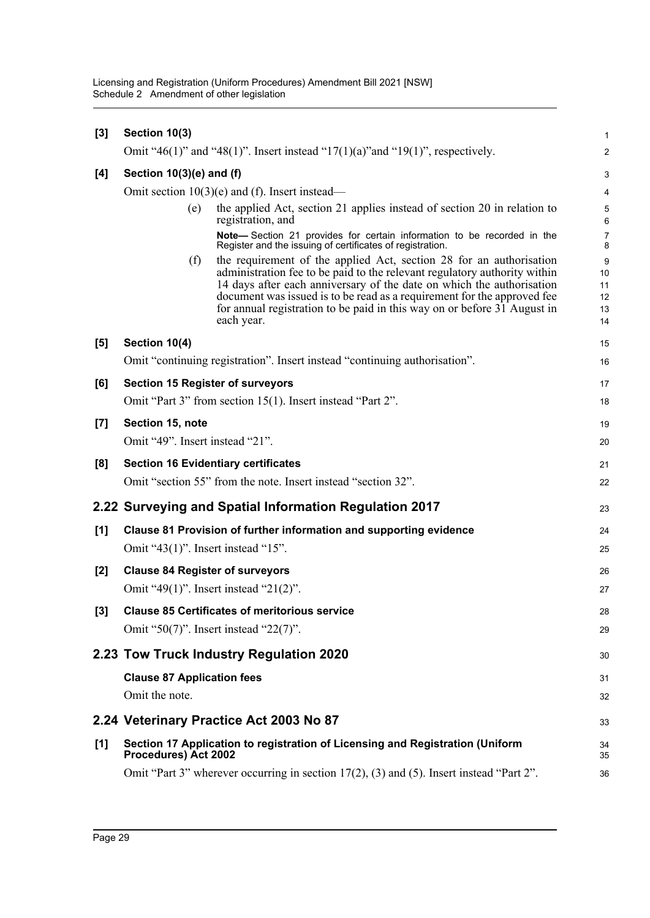| $[3]$              | Section 10(3)                                                      |                                                                                                                                                                                                                                                                                                                                                                                                |                                 |  |  |  |
|--------------------|--------------------------------------------------------------------|------------------------------------------------------------------------------------------------------------------------------------------------------------------------------------------------------------------------------------------------------------------------------------------------------------------------------------------------------------------------------------------------|---------------------------------|--|--|--|
|                    |                                                                    | Omit "46(1)" and "48(1)". Insert instead "17(1)(a)" and "19(1)", respectively.                                                                                                                                                                                                                                                                                                                 | $\overline{2}$                  |  |  |  |
| [4]                | Section 10(3)(e) and (f)                                           |                                                                                                                                                                                                                                                                                                                                                                                                |                                 |  |  |  |
|                    | Omit section $10(3)(e)$ and (f). Insert instead—                   |                                                                                                                                                                                                                                                                                                                                                                                                |                                 |  |  |  |
|                    | (e)                                                                | the applied Act, section 21 applies instead of section 20 in relation to<br>registration, and                                                                                                                                                                                                                                                                                                  | 5<br>6                          |  |  |  |
|                    |                                                                    | Note-Section 21 provides for certain information to be recorded in the<br>Register and the issuing of certificates of registration.                                                                                                                                                                                                                                                            | $\overline{7}$<br>8             |  |  |  |
|                    | (f)                                                                | the requirement of the applied Act, section 28 for an authorisation<br>administration fee to be paid to the relevant regulatory authority within<br>14 days after each anniversary of the date on which the authorisation<br>document was issued is to be read as a requirement for the approved fee<br>for annual registration to be paid in this way on or before 31 August in<br>each year. | 9<br>10<br>11<br>12<br>13<br>14 |  |  |  |
| [5]                | Section 10(4)                                                      |                                                                                                                                                                                                                                                                                                                                                                                                | 15                              |  |  |  |
|                    |                                                                    | Omit "continuing registration". Insert instead "continuing authorisation".                                                                                                                                                                                                                                                                                                                     | 16                              |  |  |  |
| [6]                |                                                                    | <b>Section 15 Register of surveyors</b>                                                                                                                                                                                                                                                                                                                                                        | 17                              |  |  |  |
|                    |                                                                    | Omit "Part 3" from section 15(1). Insert instead "Part 2".                                                                                                                                                                                                                                                                                                                                     | 18                              |  |  |  |
| $\left[ 7 \right]$ | Section 15, note                                                   |                                                                                                                                                                                                                                                                                                                                                                                                | 19                              |  |  |  |
|                    | Omit "49". Insert instead "21".                                    |                                                                                                                                                                                                                                                                                                                                                                                                | 20                              |  |  |  |
| [8]                |                                                                    | <b>Section 16 Evidentiary certificates</b>                                                                                                                                                                                                                                                                                                                                                     | 21                              |  |  |  |
|                    |                                                                    | Omit "section 55" from the note. Insert instead "section 32".                                                                                                                                                                                                                                                                                                                                  | 22                              |  |  |  |
|                    | 2.22 Surveying and Spatial Information Regulation 2017             |                                                                                                                                                                                                                                                                                                                                                                                                |                                 |  |  |  |
| [1]                | Clause 81 Provision of further information and supporting evidence |                                                                                                                                                                                                                                                                                                                                                                                                |                                 |  |  |  |
|                    |                                                                    | Omit "43 $(1)$ ". Insert instead "15".                                                                                                                                                                                                                                                                                                                                                         | 25                              |  |  |  |
| $[2]$              | <b>Clause 84 Register of surveyors</b>                             |                                                                                                                                                                                                                                                                                                                                                                                                |                                 |  |  |  |
|                    |                                                                    | Omit "49(1)". Insert instead "21(2)".                                                                                                                                                                                                                                                                                                                                                          | 27                              |  |  |  |
| $[3]$              |                                                                    | <b>Clause 85 Certificates of meritorious service</b>                                                                                                                                                                                                                                                                                                                                           | 28                              |  |  |  |
|                    |                                                                    | Omit "50(7)". Insert instead "22(7)".                                                                                                                                                                                                                                                                                                                                                          | 29                              |  |  |  |
|                    |                                                                    | 2.23 Tow Truck Industry Regulation 2020                                                                                                                                                                                                                                                                                                                                                        | 30                              |  |  |  |
|                    | <b>Clause 87 Application fees</b>                                  |                                                                                                                                                                                                                                                                                                                                                                                                | 31                              |  |  |  |
|                    | Omit the note.                                                     |                                                                                                                                                                                                                                                                                                                                                                                                | 32                              |  |  |  |
|                    |                                                                    | 2.24 Veterinary Practice Act 2003 No 87                                                                                                                                                                                                                                                                                                                                                        | 33                              |  |  |  |
| [1]                | Procedures) Act 2002                                               | Section 17 Application to registration of Licensing and Registration (Uniform                                                                                                                                                                                                                                                                                                                  | 34<br>35                        |  |  |  |
|                    |                                                                    | Omit "Part 3" wherever occurring in section $17(2)$ , (3) and (5). Insert instead "Part 2".                                                                                                                                                                                                                                                                                                    | 36                              |  |  |  |